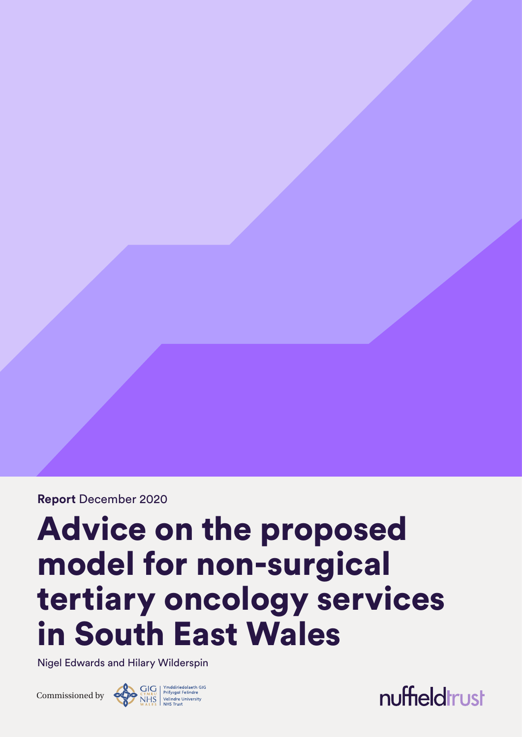**Report** December 2020

# Advice on the proposed model for non-surgical tertiary oncology services in South East Wales

Nigel Edwards and Hilary Wilderspin



nuffieldtrust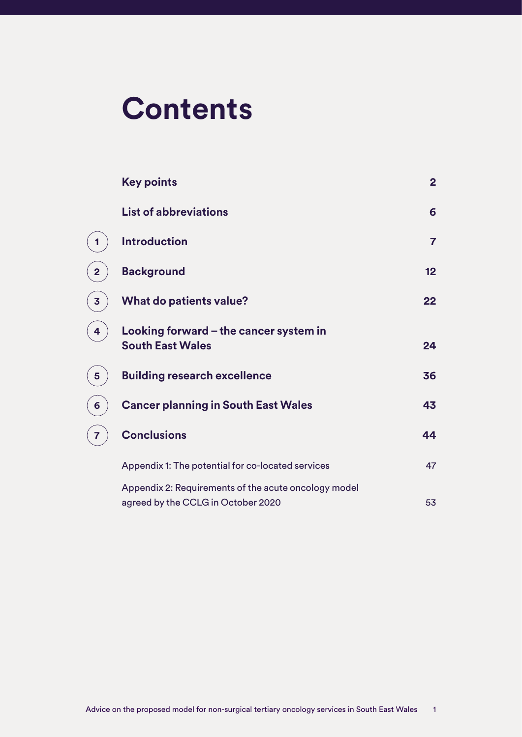# **Contents**

**[1](#page-2-0)**

**[2](#page-10-0)**

**[3](#page-15-0)**

**4**

**5**

**6**

**7**

| <b>Key points</b>                                                                          | $\overline{2}$ |
|--------------------------------------------------------------------------------------------|----------------|
| <b>List of abbreviations</b>                                                               | 6              |
| <b>Introduction</b>                                                                        | $\overline{7}$ |
| <b>Background</b>                                                                          | 12             |
| <b>What do patients value?</b>                                                             | 22             |
| Looking forward $-$ the cancer system in<br><b>South East Wales</b>                        | 24             |
| <b>Building research excellence</b>                                                        | 36             |
| <b>Cancer planning in South East Wales</b>                                                 | 43             |
| <b>Conclusions</b>                                                                         | 44             |
| Appendix 1: The potential for co-located services                                          | 47             |
| Appendix 2: Requirements of the acute oncology model<br>agreed by the CCLG in October 2020 | 53             |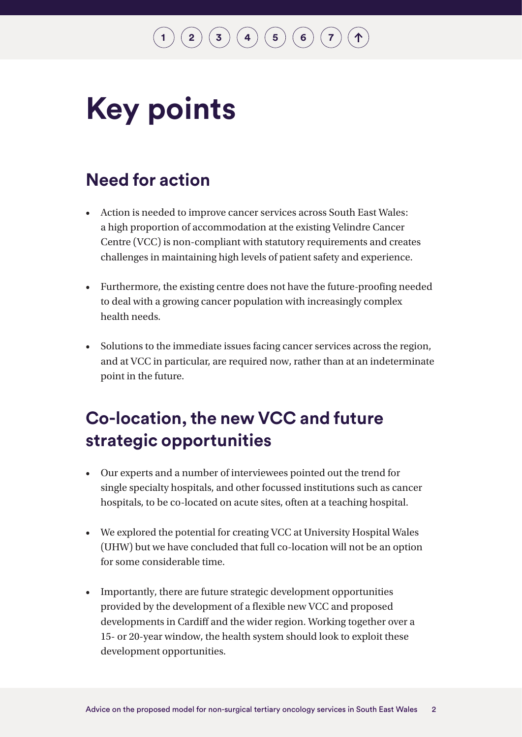$\binom{2}{\frac{3}{\frac{4}{\frac{6}{\sqrt{2}}}}$  $\binom{2}{\frac{3}{\frac{4}{\frac{6}{\sqrt{2}}}}$  $\binom{2}{\frac{3}{\frac{4}{\frac{6}{\sqrt{2}}}}$  $\binom{2}{\frac{3}{\frac{4}{\frac{6}{\sqrt{2}}}}$  $\binom{2}{\frac{3}{\frac{4}{\frac{6}{\sqrt{2}}}}$  $\binom{2}{\frac{3}{\frac{4}{\frac{6}{\sqrt{2}}}}$  $\binom{2}{\frac{3}{\frac{4}{\frac{6}{\sqrt{2}}}}$  $\binom{2}{\frac{3}{\frac{4}{\frac{6}{\sqrt{2}}}}$  $\binom{2}{\frac{3}{\frac{4}{\frac{6}{\sqrt{2}}}}$ 

# <span id="page-2-0"></span>**Key points**

### **Need for action**

- Action is needed to improve cancer services across South East Wales: a high proportion of accommodation at the existing Velindre Cancer Centre (VCC) is non-compliant with statutory requirements and creates challenges in maintaining high levels of patient safety and experience.
- Furthermore, the existing centre does not have the future-proofing needed to deal with a growing cancer population with increasingly complex health needs.
- Solutions to the immediate issues facing cancer services across the region, and at VCC in particular, are required now, rather than at an indeterminate point in the future.

### **Co-location, the new VCC and future strategic opportunities**

- Our experts and a number of interviewees pointed out the trend for single specialty hospitals, and other focussed institutions such as cancer hospitals, to be co-located on acute sites, often at a teaching hospital.
- We explored the potential for creating VCC at University Hospital Wales (UHW) but we have concluded that full co-location will not be an option for some considerable time.
- Importantly, there are future strategic development opportunities provided by the development of a flexible new VCC and proposed developments in Cardiff and the wider region. Working together over a 15- or 20-year window, the health system should look to exploit these development opportunities.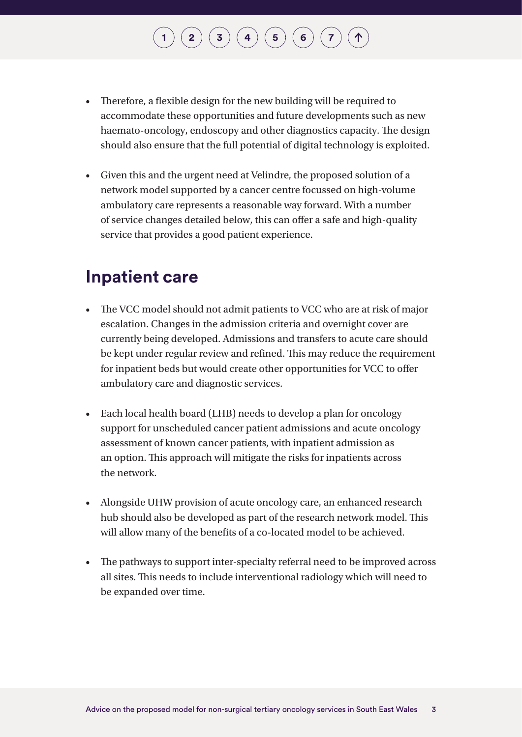# **[1](#page-7-0) [2](#page-12-0) [3](#page-22-0) [4](#page-24-0) [5](#page-36-0) [6](#page-43-0) [7](#page-44-0)**

- Therefore, a flexible design for the new building will be required to accommodate these opportunities and future developments such as new haemato-oncology, endoscopy and other diagnostics capacity. The design should also ensure that the full potential of digital technology is exploited.
- Given this and the urgent need at Velindre, the proposed solution of a network model supported by a cancer centre focussed on high-volume ambulatory care represents a reasonable way forward. With a number of service changes detailed below, this can offer a safe and high-quality service that provides a good patient experience.

### **Inpatient care**

- The VCC model should not admit patients to VCC who are at risk of major escalation. Changes in the admission criteria and overnight cover are currently being developed. Admissions and transfers to acute care should be kept under regular review and refined. This may reduce the requirement for inpatient beds but would create other opportunities for VCC to offer ambulatory care and diagnostic services.
- Each local health board (LHB) needs to develop a plan for oncology support for unscheduled cancer patient admissions and acute oncology assessment of known cancer patients, with inpatient admission as an option. This approach will mitigate the risks for inpatients across the network.
- Alongside UHW provision of acute oncology care, an enhanced research hub should also be developed as part of the research network model. This will allow many of the benefits of a co-located model to be achieved.
- The pathways to support inter-specialty referral need to be improved across all sites. This needs to include interventional radiology which will need to be expanded over time.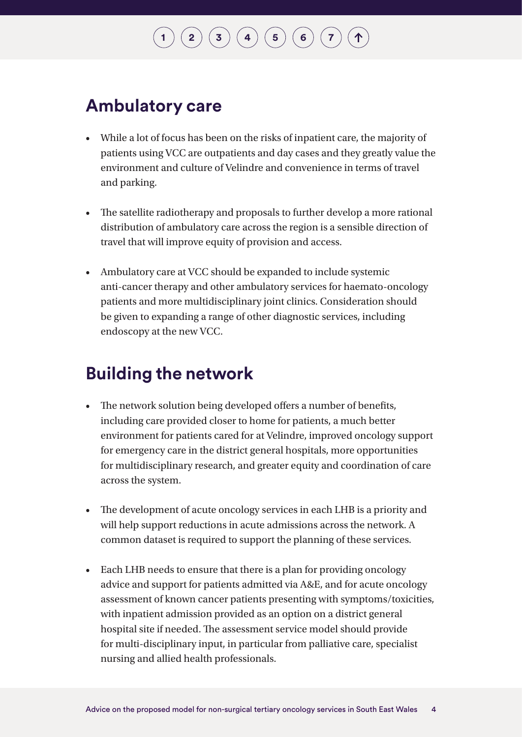### **Ambulatory care**

- While a lot of focus has been on the risks of inpatient care, the majority of patients using VCC are outpatients and day cases and they greatly value the environment and culture of Velindre and convenience in terms of travel and parking.
- The satellite radiotherapy and proposals to further develop a more rational distribution of ambulatory care across the region is a sensible direction of travel that will improve equity of provision and access.
- Ambulatory care at VCC should be expanded to include systemic anti-cancer therapy and other ambulatory services for haemato-oncology patients and more multidisciplinary joint clinics. Consideration should be given to expanding a range of other diagnostic services, including endoscopy at the new VCC.

### **Building the network**

- The network solution being developed offers a number of benefits, including care provided closer to home for patients, a much better environment for patients cared for at Velindre, improved oncology support for emergency care in the district general hospitals, more opportunities for multidisciplinary research, and greater equity and coordination of care across the system.
- The development of acute oncology services in each LHB is a priority and will help support reductions in acute admissions across the network. A common dataset is required to support the planning of these services.
- Each LHB needs to ensure that there is a plan for providing oncology advice and support for patients admitted via A&E, and for acute oncology assessment of known cancer patients presenting with symptoms/toxicities, with inpatient admission provided as an option on a district general hospital site if needed. The assessment service model should provide for multi-disciplinary input, in particular from palliative care, specialist nursing and allied health professionals.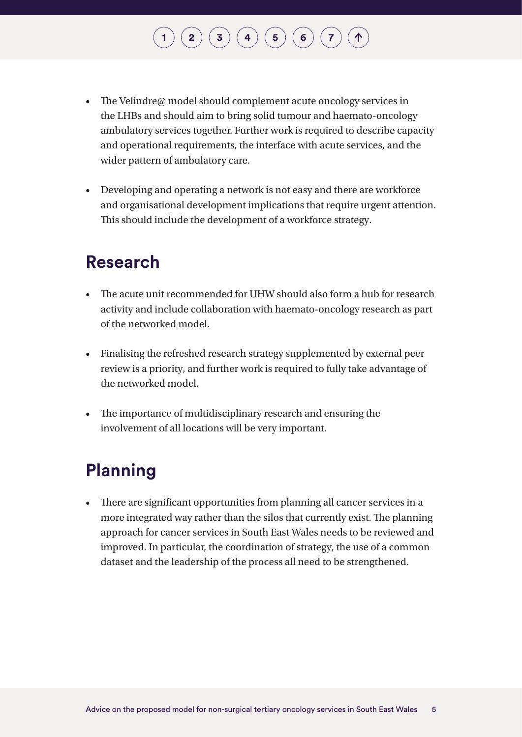# **[1](#page-7-0) [2](#page-12-0) [3](#page-22-0) [4](#page-24-0) [5](#page-36-0) [6](#page-43-0) [7](#page-44-0)**

- The Velindre@ model should complement acute oncology services in the LHBs and should aim to bring solid tumour and haemato-oncology ambulatory services together. Further work is required to describe capacity and operational requirements, the interface with acute services, and the wider pattern of ambulatory care.
- Developing and operating a network is not easy and there are workforce and organisational development implications that require urgent attention. This should include the development of a workforce strategy.

### **Research**

- The acute unit recommended for UHW should also form a hub for research activity and include collaboration with haemato-oncology research as part of the networked model.
- Finalising the refreshed research strategy supplemented by external peer review is a priority, and further work is required to fully take advantage of the networked model.
- The importance of multidisciplinary research and ensuring the involvement of all locations will be very important.

### **Planning**

• There are significant opportunities from planning all cancer services in a more integrated way rather than the silos that currently exist. The planning approach for cancer services in South East Wales needs to be reviewed and improved. In particular, the coordination of strategy, the use of a common dataset and the leadership of the process all need to be strengthened.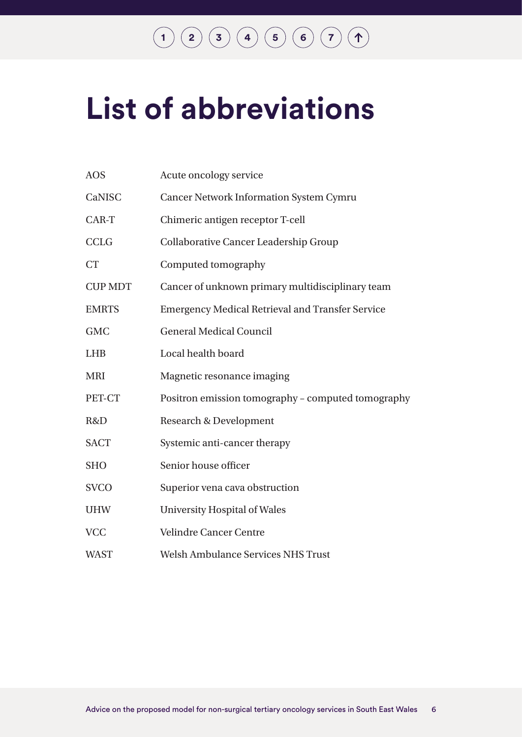# **[1](#page-7-0) [2](#page-12-0) [3](#page-22-0) [4](#page-24-0) [5](#page-36-0) [6](#page-43-0) [7](#page-44-0)**

# <span id="page-6-0"></span>**List of abbreviations**

| <b>AOS</b>     | Acute oncology service                                  |
|----------------|---------------------------------------------------------|
| CaNISC         | <b>Cancer Network Information System Cymru</b>          |
| CAR-T          | Chimeric antigen receptor T-cell                        |
| <b>CCLG</b>    | <b>Collaborative Cancer Leadership Group</b>            |
| <b>CT</b>      | Computed tomography                                     |
| <b>CUP MDT</b> | Cancer of unknown primary multidisciplinary team        |
| <b>EMRTS</b>   | <b>Emergency Medical Retrieval and Transfer Service</b> |
| <b>GMC</b>     | <b>General Medical Council</b>                          |
| <b>LHB</b>     | Local health board                                      |
| <b>MRI</b>     | Magnetic resonance imaging                              |
| PET-CT         | Positron emission tomography - computed tomography      |
| R&D            | <b>Research &amp; Development</b>                       |
| <b>SACT</b>    | Systemic anti-cancer therapy                            |
| <b>SHO</b>     | Senior house officer                                    |
| <b>SVCO</b>    | Superior vena cava obstruction                          |
| <b>UHW</b>     | <b>University Hospital of Wales</b>                     |
| <b>VCC</b>     | <b>Velindre Cancer Centre</b>                           |
| <b>WAST</b>    | <b>Welsh Ambulance Services NHS Trust</b>               |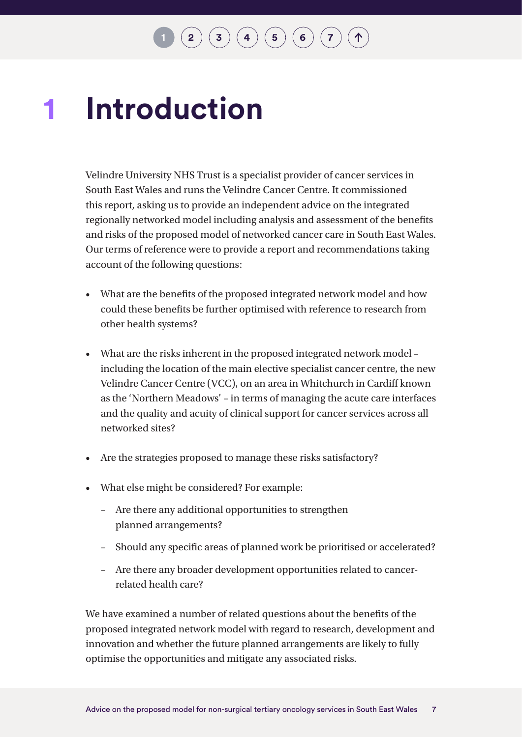### <span id="page-7-0"></span>**Introduction 1**

Velindre University NHS Trust is a specialist provider of cancer services in South East Wales and runs the Velindre Cancer Centre. It commissioned this report, asking us to provide an independent advice on the integrated regionally networked model including analysis and assessment of the benefits and risks of the proposed model of networked cancer care in South East Wales. Our terms of reference were to provide a report and recommendations taking account of the following questions:

- What are the benefits of the proposed integrated network model and how could these benefits be further optimised with reference to research from other health systems?
- What are the risks inherent in the proposed integrated network model including the location of the main elective specialist cancer centre, the new Velindre Cancer Centre (VCC), on an area in Whitchurch in Cardiff known as the 'Northern Meadows' – in terms of managing the acute care interfaces and the quality and acuity of clinical support for cancer services across all networked sites?
- Are the strategies proposed to manage these risks satisfactory?
- What else might be considered? For example:
	- Are there any additional opportunities to strengthen planned arrangements?
	- Should any specific areas of planned work be prioritised or accelerated?
	- Are there any broader development opportunities related to cancerrelated health care?

We have examined a number of related questions about the benefits of the proposed integrated network model with regard to research, development and innovation and whether the future planned arrangements are likely to fully optimise the opportunities and mitigate any associated risks.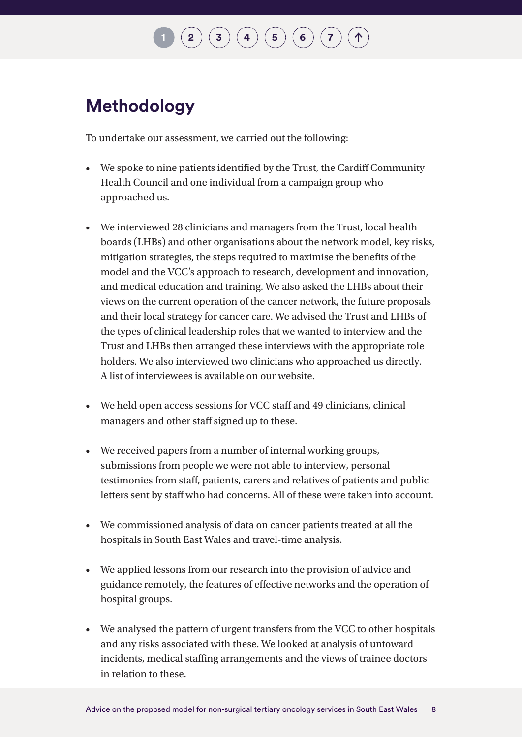# $\mathbf{2} \left( \mathbf{3} \right) \left( \mathbf{3} \right) \left( \mathbf{4} \right) \left( \mathbf{5} \right) \left( \mathbf{6} \right) \left( \mathbf{7} \right)$  $\mathbf{2} \left( \mathbf{3} \right) \left( \mathbf{3} \right) \left( \mathbf{4} \right) \left( \mathbf{5} \right) \left( \mathbf{6} \right) \left( \mathbf{7} \right)$  $\mathbf{2} \left( \mathbf{3} \right) \left( \mathbf{3} \right) \left( \mathbf{4} \right) \left( \mathbf{5} \right) \left( \mathbf{6} \right) \left( \mathbf{7} \right)$  $\mathbf{2} \left( \mathbf{3} \right) \left( \mathbf{3} \right) \left( \mathbf{4} \right) \left( \mathbf{5} \right) \left( \mathbf{6} \right) \left( \mathbf{7} \right)$  $\mathbf{2} \left( \mathbf{3} \right) \left( \mathbf{3} \right) \left( \mathbf{4} \right) \left( \mathbf{5} \right) \left( \mathbf{6} \right) \left( \mathbf{7} \right)$  $\mathbf{2} \left( \mathbf{3} \right) \left( \mathbf{3} \right) \left( \mathbf{4} \right) \left( \mathbf{5} \right) \left( \mathbf{6} \right) \left( \mathbf{7} \right)$  $\mathbf{2} \left( \mathbf{3} \right) \left( \mathbf{3} \right) \left( \mathbf{4} \right) \left( \mathbf{5} \right) \left( \mathbf{6} \right) \left( \mathbf{7} \right)$  $\mathbf{2} \left( \mathbf{3} \right) \left( \mathbf{3} \right) \left( \mathbf{4} \right) \left( \mathbf{5} \right) \left( \mathbf{6} \right) \left( \mathbf{7} \right)$  $\mathbf{2} \left( \mathbf{3} \right) \left( \mathbf{3} \right) \left( \mathbf{4} \right) \left( \mathbf{5} \right) \left( \mathbf{6} \right) \left( \mathbf{7} \right)$  $\mathbf{2} \left( \mathbf{3} \right) \left( \mathbf{3} \right) \left( \mathbf{4} \right) \left( \mathbf{5} \right) \left( \mathbf{6} \right) \left( \mathbf{7} \right)$  $\mathbf{2} \left( \mathbf{3} \right) \left( \mathbf{3} \right) \left( \mathbf{4} \right) \left( \mathbf{5} \right) \left( \mathbf{6} \right) \left( \mathbf{7} \right)$  $\mathbf{2} \left( \mathbf{3} \right) \left( \mathbf{3} \right) \left( \mathbf{4} \right) \left( \mathbf{5} \right) \left( \mathbf{6} \right) \left( \mathbf{7} \right)$  $\mathbf{2} \left( \mathbf{3} \right) \left( \mathbf{3} \right) \left( \mathbf{4} \right) \left( \mathbf{5} \right) \left( \mathbf{6} \right) \left( \mathbf{7} \right)$

### **Methodology**

To undertake our assessment, we carried out the following:

- We spoke to nine patients identified by the Trust, the Cardiff Community Health Council and one individual from a campaign group who approached us.
- We interviewed 28 clinicians and managers from the Trust, local health boards (LHBs) and other organisations about the network model, key risks, mitigation strategies, the steps required to maximise the benefits of the model and the VCC's approach to research, development and innovation, and medical education and training. We also asked the LHBs about their views on the current operation of the cancer network, the future proposals and their local strategy for cancer care. We advised the Trust and LHBs of the types of clinical leadership roles that we wanted to interview and the Trust and LHBs then arranged these interviews with the appropriate role holders. We also interviewed two clinicians who approached us directly. A list of interviewees is available on our website.
- We held open access sessions for VCC staff and 49 clinicians, clinical managers and other staff signed up to these.
- We received papers from a number of internal working groups, submissions from people we were not able to interview, personal testimonies from staff, patients, carers and relatives of patients and public letters sent by staff who had concerns. All of these were taken into account.
- We commissioned analysis of data on cancer patients treated at all the hospitals in South East Wales and travel-time analysis.
- We applied lessons from our research into the provision of advice and guidance remotely, the features of effective networks and the operation of hospital groups.
- We analysed the pattern of urgent transfers from the VCC to other hospitals and any risks associated with these. We looked at analysis of untoward incidents, medical staffing arrangements and the views of trainee doctors in relation to these.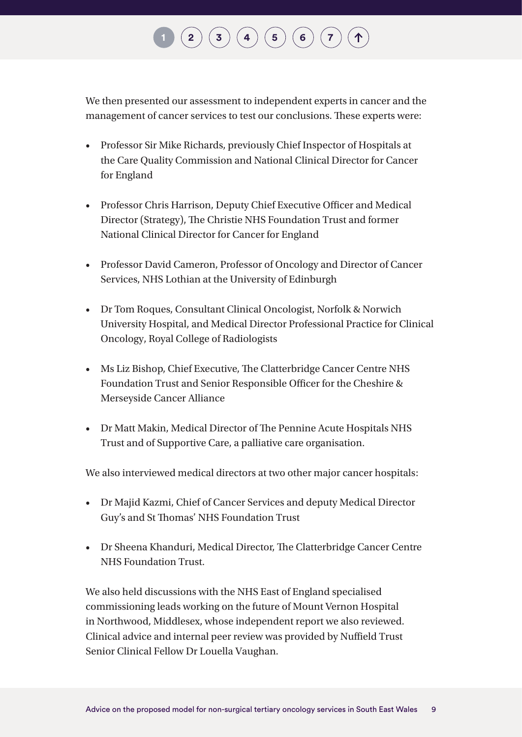# $\binom{2}{\frac{3}{\frac{4}{\frac{6}{\sqrt{2}}}}$  $\binom{2}{\frac{3}{\frac{4}{\frac{6}{\sqrt{2}}}}$  $\binom{2}{\frac{3}{\frac{4}{\frac{6}{\sqrt{2}}}}$  $\binom{2}{\frac{3}{\frac{4}{\frac{6}{\sqrt{2}}}}$  $\binom{2}{\frac{3}{\frac{4}{\frac{6}{\sqrt{2}}}}$  $\binom{2}{\frac{3}{\frac{4}{\frac{6}{\sqrt{2}}}}$  $\binom{2}{\frac{3}{\frac{4}{\frac{6}{\sqrt{2}}}}$  $\binom{2}{\frac{3}{\frac{4}{\frac{6}{\sqrt{2}}}}$  $\binom{2}{\frac{3}{\frac{4}{\frac{6}{\sqrt{2}}}}$

We then presented our assessment to independent experts in cancer and the management of cancer services to test our conclusions. These experts were:

- Professor Sir Mike Richards, previously Chief Inspector of Hospitals at the Care Quality Commission and National Clinical Director for Cancer for England
- Professor Chris Harrison, Deputy Chief Executive Officer and Medical Director (Strategy), The Christie NHS Foundation Trust and former National Clinical Director for Cancer for England
- Professor David Cameron, Professor of Oncology and Director of Cancer Services, NHS Lothian at the University of Edinburgh
- Dr Tom Roques, Consultant Clinical Oncologist, Norfolk & Norwich University Hospital, and Medical Director Professional Practice for Clinical Oncology, Royal College of Radiologists
- Ms Liz Bishop, Chief Executive, The Clatterbridge Cancer Centre NHS Foundation Trust and Senior Responsible Officer for the Cheshire & Merseyside Cancer Alliance
- Dr Matt Makin, Medical Director of The Pennine Acute Hospitals NHS Trust and of Supportive Care, a palliative care organisation.

We also interviewed medical directors at two other major cancer hospitals:

- Dr Majid Kazmi, Chief of Cancer Services and deputy Medical Director Guy's and St Thomas' NHS Foundation Trust
- Dr Sheena Khanduri, Medical Director, The Clatterbridge Cancer Centre NHS Foundation Trust.

We also held discussions with the NHS East of England specialised commissioning leads working on the future of Mount Vernon Hospital in Northwood, Middlesex, whose independent report we also reviewed. Clinical advice and internal peer review was provided by Nuffield Trust Senior Clinical Fellow Dr Louella Vaughan.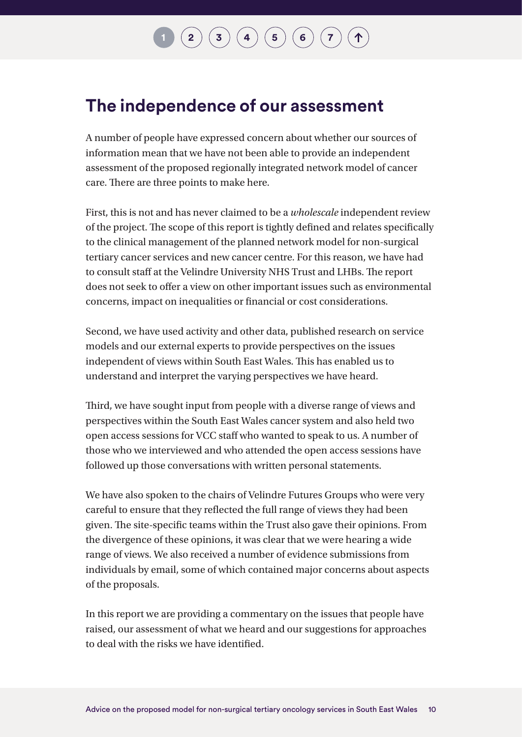# $\mathbf{2} \left( \mathbf{3} \right) \mathbf{3} \left( \mathbf{4} \right) \mathbf{4} \left( \mathbf{5} \right) \mathbf{6} \mathbf{7}$  $\mathbf{2} \left( \mathbf{3} \right) \mathbf{3} \left( \mathbf{4} \right) \mathbf{4} \left( \mathbf{5} \right) \mathbf{6} \mathbf{7}$  $\mathbf{2} \left( \mathbf{3} \right) \mathbf{3} \left( \mathbf{4} \right) \mathbf{4} \left( \mathbf{5} \right) \mathbf{6} \mathbf{7}$  $\mathbf{2} \left( \mathbf{3} \right) \mathbf{3} \left( \mathbf{4} \right) \mathbf{4} \left( \mathbf{5} \right) \mathbf{6} \mathbf{7}$  $\mathbf{2} \left( \mathbf{3} \right) \mathbf{3} \left( \mathbf{4} \right) \mathbf{4} \left( \mathbf{5} \right) \mathbf{6} \mathbf{7}$  $\mathbf{2} \left( \mathbf{3} \right) \mathbf{3} \left( \mathbf{4} \right) \mathbf{4} \left( \mathbf{5} \right) \mathbf{6} \mathbf{7}$  $\mathbf{2} \left( \mathbf{3} \right) \mathbf{3} \left( \mathbf{4} \right) \mathbf{4} \left( \mathbf{5} \right) \mathbf{6} \mathbf{7}$  $\mathbf{2} \left( \mathbf{3} \right) \mathbf{3} \left( \mathbf{4} \right) \mathbf{4} \left( \mathbf{5} \right) \mathbf{6} \mathbf{7}$  $\mathbf{2} \left( \mathbf{3} \right) \mathbf{3} \left( \mathbf{4} \right) \mathbf{4} \left( \mathbf{5} \right) \mathbf{6} \mathbf{7}$  $\mathbf{2} \left( \mathbf{3} \right) \mathbf{3} \left( \mathbf{4} \right) \mathbf{4} \left( \mathbf{5} \right) \mathbf{6} \mathbf{7}$  $\mathbf{2} \left( \mathbf{3} \right) \mathbf{3} \left( \mathbf{4} \right) \mathbf{4} \left( \mathbf{5} \right) \mathbf{6} \mathbf{7}$  $\mathbf{2} \left( \mathbf{3} \right) \mathbf{3} \left( \mathbf{4} \right) \mathbf{4} \left( \mathbf{5} \right) \mathbf{6} \mathbf{7}$  $\mathbf{2} \left( \mathbf{3} \right) \mathbf{3} \left( \mathbf{4} \right) \mathbf{4} \left( \mathbf{5} \right) \mathbf{6} \mathbf{7}$

### <span id="page-10-0"></span>**The independence of our assessment**

A number of people have expressed concern about whether our sources of information mean that we have not been able to provide an independent assessment of the proposed regionally integrated network model of cancer care. There are three points to make here.

First, this is not and has never claimed to be a *wholescale* independent review of the project. The scope of this report is tightly defined and relates specifically to the clinical management of the planned network model for non-surgical tertiary cancer services and new cancer centre. For this reason, we have had to consult staff at the Velindre University NHS Trust and LHBs. The report does not seek to offer a view on other important issues such as environmental concerns, impact on inequalities or financial or cost considerations.

Second, we have used activity and other data, published research on service models and our external experts to provide perspectives on the issues independent of views within South East Wales. This has enabled us to understand and interpret the varying perspectives we have heard.

Third, we have sought input from people with a diverse range of views and perspectives within the South East Wales cancer system and also held two open access sessions for VCC staff who wanted to speak to us. A number of those who we interviewed and who attended the open access sessions have followed up those conversations with written personal statements.

We have also spoken to the chairs of Velindre Futures Groups who were very careful to ensure that they reflected the full range of views they had been given. The site-specific teams within the Trust also gave their opinions. From the divergence of these opinions, it was clear that we were hearing a wide range of views. We also received a number of evidence submissions from individuals by email, some of which contained major concerns about aspects of the proposals.

In this report we are providing a commentary on the issues that people have raised, our assessment of what we heard and our suggestions for approaches to deal with the risks we have identified.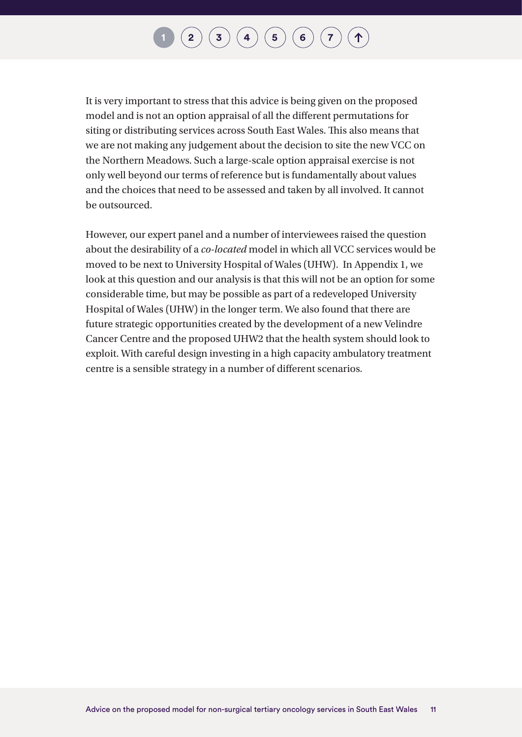### $\mathbf{2} \left( \mathbf{2} \right) \left( \mathbf{3} \right) \left( \mathbf{4} \right) \left( \mathbf{5} \right) \left( \mathbf{6} \right) \left( \mathbf{7} \right)$  $\mathbf{2} \left( \mathbf{2} \right) \left( \mathbf{3} \right) \left( \mathbf{4} \right) \left( \mathbf{5} \right) \left( \mathbf{6} \right) \left( \mathbf{7} \right)$  $\mathbf{2} \left( \mathbf{2} \right) \left( \mathbf{3} \right) \left( \mathbf{4} \right) \left( \mathbf{5} \right) \left( \mathbf{6} \right) \left( \mathbf{7} \right)$  $\mathbf{2} \left( \mathbf{2} \right) \left( \mathbf{3} \right) \left( \mathbf{4} \right) \left( \mathbf{5} \right) \left( \mathbf{6} \right) \left( \mathbf{7} \right)$  $\mathbf{2} \left( \mathbf{2} \right) \left( \mathbf{3} \right) \left( \mathbf{4} \right) \left( \mathbf{5} \right) \left( \mathbf{6} \right) \left( \mathbf{7} \right)$  $\mathbf{2} \left( \mathbf{2} \right) \left( \mathbf{3} \right) \left( \mathbf{4} \right) \left( \mathbf{5} \right) \left( \mathbf{6} \right) \left( \mathbf{7} \right)$  $\mathbf{2} \left( \mathbf{2} \right) \left( \mathbf{3} \right) \left( \mathbf{4} \right) \left( \mathbf{5} \right) \left( \mathbf{6} \right) \left( \mathbf{7} \right)$  $\mathbf{2} \left( \mathbf{2} \right) \left( \mathbf{3} \right) \left( \mathbf{4} \right) \left( \mathbf{5} \right) \left( \mathbf{6} \right) \left( \mathbf{7} \right)$  $\mathbf{2} \left( \mathbf{2} \right) \left( \mathbf{3} \right) \left( \mathbf{4} \right) \left( \mathbf{5} \right) \left( \mathbf{6} \right) \left( \mathbf{7} \right)$  $\mathbf{2} \left( \mathbf{2} \right) \left( \mathbf{3} \right) \left( \mathbf{4} \right) \left( \mathbf{5} \right) \left( \mathbf{6} \right) \left( \mathbf{7} \right)$  $\mathbf{2} \left( \mathbf{2} \right) \left( \mathbf{3} \right) \left( \mathbf{4} \right) \left( \mathbf{5} \right) \left( \mathbf{6} \right) \left( \mathbf{7} \right)$  $\mathbf{2} \left( \mathbf{2} \right) \left( \mathbf{3} \right) \left( \mathbf{4} \right) \left( \mathbf{5} \right) \left( \mathbf{6} \right) \left( \mathbf{7} \right)$  $\mathbf{2} \left( \mathbf{2} \right) \left( \mathbf{3} \right) \left( \mathbf{4} \right) \left( \mathbf{5} \right) \left( \mathbf{6} \right) \left( \mathbf{7} \right)$

It is very important to stress that this advice is being given on the proposed model and is not an option appraisal of all the different permutations for siting or distributing services across South East Wales. This also means that we are not making any judgement about the decision to site the new VCC on the Northern Meadows. Such a large-scale option appraisal exercise is not only well beyond our terms of reference but is fundamentally about values and the choices that need to be assessed and taken by all involved. It cannot be outsourced.

However, our expert panel and a number of interviewees raised the question about the desirability of a *co-located* model in which all VCC services would be moved to be next to University Hospital of Wales (UHW). In [Appendix 1](#page-47-1), we look at this question and our analysis is that this will not be an option for some considerable time, but may be possible as part of a redeveloped University Hospital of Wales (UHW) in the longer term. We also found that there are future strategic opportunities created by the development of a new Velindre Cancer Centre and the proposed UHW2 that the health system should look to exploit. With careful design investing in a high capacity ambulatory treatment centre is a sensible strategy in a number of different scenarios.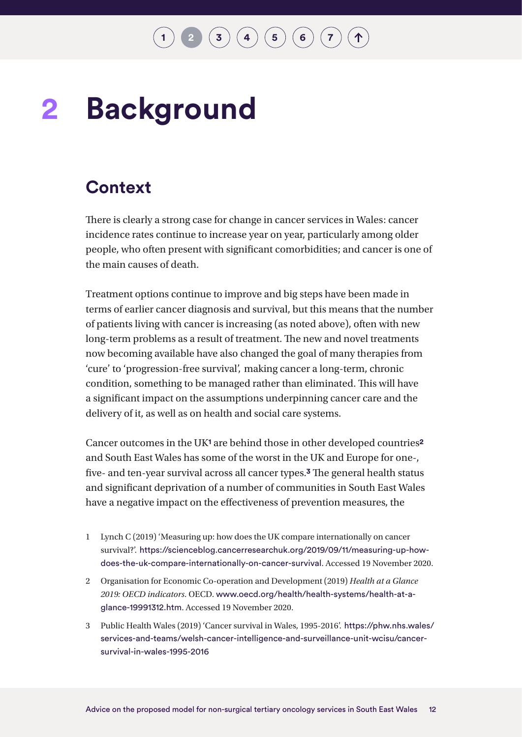### <span id="page-12-0"></span>**Background 2**

### **Context**

There is clearly a strong case for change in cancer services in Wales: cancer incidence rates continue to increase year on year, particularly among older people, who often present with significant comorbidities; and cancer is one of the main causes of death.

Treatment options continue to improve and big steps have been made in terms of earlier cancer diagnosis and survival, but this means that the number of patients living with cancer is increasing (as noted above), often with new long-term problems as a result of treatment. The new and novel treatments now becoming available have also changed the goal of many therapies from 'cure' to 'progression-free survival', making cancer a long-term, chronic condition, something to be managed rather than eliminated. This will have a significant impact on the assumptions underpinning cancer care and the delivery of it, as well as on health and social care systems.

Cancer outcomes in the UK**1** are behind those in other developed countries**<sup>2</sup>** and South East Wales has some of the worst in the UK and Europe for one-, five- and ten-year survival across all cancer types.**3** The general health status and significant deprivation of a number of communities in South East Wales have a negative impact on the effectiveness of prevention measures, the

- 1 Lynch C (2019) 'Measuring up: how does the UK compare internationally on cancer survival?'. [https://scienceblog.cancerresearchuk.org/2019/09/11/measuring-up-how](https://scienceblog.cancerresearchuk.org/2019/09/11/measuring-up-how-does-the-uk-compare-internationally-on-cancer-survival)[does-the-uk-compare-internationally-on-cancer-survival](https://scienceblog.cancerresearchuk.org/2019/09/11/measuring-up-how-does-the-uk-compare-internationally-on-cancer-survival). Accessed 19 November 2020.
- 2 Organisation for Economic Co-operation and Development (2019) *Health at a Glance 2019: OECD indicators*. OECD. [www.oecd.org/health/health-systems/health-at-a](http://www.oecd.org/health/health-systems/health-at-a-glance-19991312.htm)[glance-19991312.htm](http://www.oecd.org/health/health-systems/health-at-a-glance-19991312.htm). Accessed 19 November 2020.
- 3 Public Health Wales (2019) 'Cancer survival in Wales, 1995-2016'. [https://phw.nhs.wales/](https://phw.nhs.wales/services-and-teams/welsh-cancer-intelligence-and-surveillance-unit-wcisu/cancer-survival-in-wales-1995-2016) [services-and-teams/welsh-cancer-intelligence-and-surveillance-unit-wcisu/cancer](https://phw.nhs.wales/services-and-teams/welsh-cancer-intelligence-and-surveillance-unit-wcisu/cancer-survival-in-wales-1995-2016)[survival-in-wales-1995-2016](https://phw.nhs.wales/services-and-teams/welsh-cancer-intelligence-and-surveillance-unit-wcisu/cancer-survival-in-wales-1995-2016)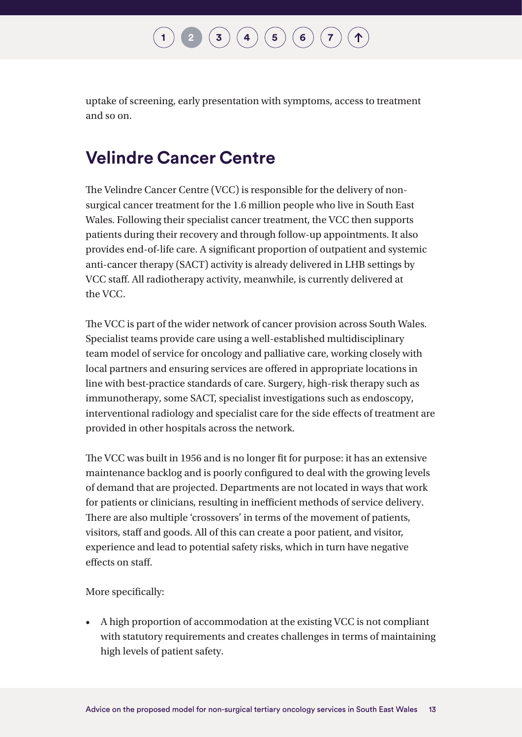uptake of screening, early presentation with symptoms, access to treatment and so on.

### **Velindre Cancer Centre**

The Velindre Cancer Centre (VCC) is responsible for the delivery of nonsurgical cancer treatment for the 1.6 million people who live in South East Wales. Following their specialist cancer treatment, the VCC then supports patients during their recovery and through follow-up appointments. It also provides end-of-life care. A significant proportion of outpatient and systemic anti-cancer therapy (SACT) activity is already delivered in LHB settings by VCC staff. All radiotherapy activity, meanwhile, is currently delivered at the VCC.

The VCC is part of the wider network of cancer provision across South Wales. Specialist teams provide care using a well-established multidisciplinary team model of service for oncology and palliative care, working closely with local partners and ensuring services are offered in appropriate locations in line with best-practice standards of care. Surgery, high-risk therapy such as immunotherapy, some SACT, specialist investigations such as endoscopy, interventional radiology and specialist care for the side effects of treatment are provided in other hospitals across the network.

The VCC was built in 1956 and is no longer fit for purpose: it has an extensive maintenance backlog and is poorly configured to deal with the growing levels of demand that are projected. Departments are not located in ways that work for patients or clinicians, resulting in inefficient methods of service delivery. There are also multiple 'crossovers' in terms of the movement of patients, visitors, staff and goods. All of this can create a poor patient, and visitor, experience and lead to potential safety risks, which in turn have negative effects on staff.

More specifically:

• A high proportion of accommodation at the existing VCC is not compliant with statutory requirements and creates challenges in terms of maintaining high levels of patient safety.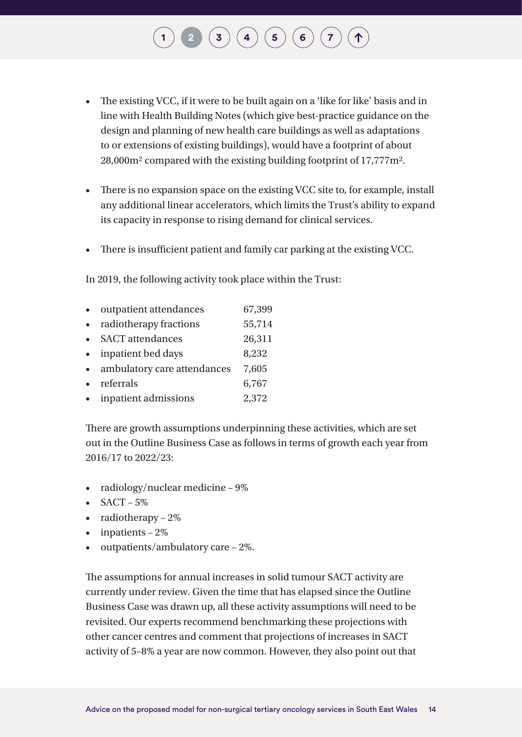- The existing VCC, if it were to be built again on a 'like for like' basis and in line with Health Building Notes (which give best-practice guidance on the design and planning of new health care buildings as well as adaptations to or extensions of existing buildings), would have a footprint of about 28,000m2 compared with the existing building footprint of 17,777m2.
- There is no expansion space on the existing VCC site to, for example, install any additional linear accelerators, which limits the Trust's ability to expand its capacity in response to rising demand for clinical services.
- There is insufficient patient and family car parking at the existing VCC.

In 2019, the following activity took place within the Trust:

• outpatient attendances 67,399 • radiotherapy fractions 55,714 • SACT attendances 26,311 • inpatient bed days 8,232 • ambulatory care attendances 7,605 • referrals 6,767 • inpatient admissions 2,372

There are growth assumptions underpinning these activities, which are set out in the Outline Business Case as follows in terms of growth each year from 2016/17 to 2022/23:

- radiology/nuclear medicine 9%
- $SACT 5%$
- radiotherapy 2%
- $\bullet$  inpatients  $-2\%$
- outpatients/ambulatory care 2%.

The assumptions for annual increases in solid tumour SACT activity are currently under review. Given the time that has elapsed since the Outline Business Case was drawn up, all these activity assumptions will need to be revisited. Our experts recommend benchmarking these projections with other cancer centres and comment that projections of increases in SACT activity of 5–8% a year are now common. However, they also point out that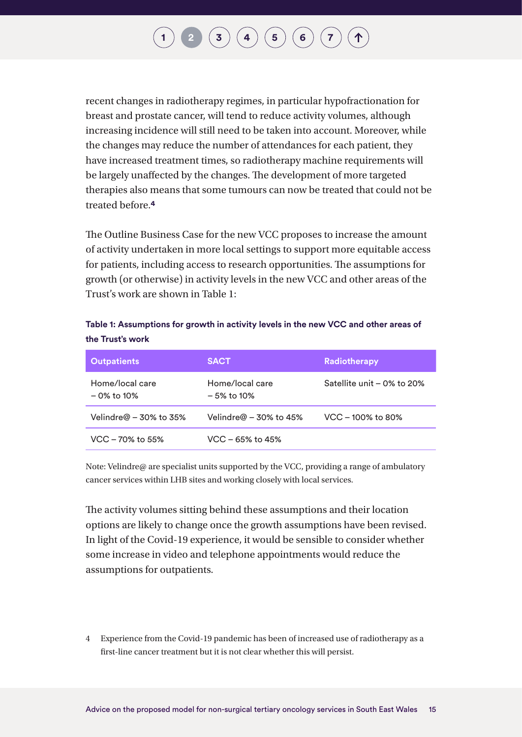## $\mathbf{I} \left( \mathbf{3} \right) \left( \mathbf{4} \right) \left( \mathbf{5} \right) \left( \mathbf{6} \right) \left( \mathbf{7} \right)$  $\mathbf{I} \left( \mathbf{3} \right) \left( \mathbf{4} \right) \left( \mathbf{5} \right) \left( \mathbf{6} \right) \left( \mathbf{7} \right)$  $\mathbf{I} \left( \mathbf{3} \right) \left( \mathbf{4} \right) \left( \mathbf{5} \right) \left( \mathbf{6} \right) \left( \mathbf{7} \right)$  $\mathbf{I} \left( \mathbf{3} \right) \left( \mathbf{4} \right) \left( \mathbf{5} \right) \left( \mathbf{6} \right) \left( \mathbf{7} \right)$  $\mathbf{I} \left( \mathbf{3} \right) \left( \mathbf{4} \right) \left( \mathbf{5} \right) \left( \mathbf{6} \right) \left( \mathbf{7} \right)$  $\mathbf{I} \left( \mathbf{3} \right) \left( \mathbf{4} \right) \left( \mathbf{5} \right) \left( \mathbf{6} \right) \left( \mathbf{7} \right)$  $\mathbf{I} \left( \mathbf{3} \right) \left( \mathbf{4} \right) \left( \mathbf{5} \right) \left( \mathbf{6} \right) \left( \mathbf{7} \right)$  $\mathbf{I} \left( \mathbf{3} \right) \left( \mathbf{4} \right) \left( \mathbf{5} \right) \left( \mathbf{6} \right) \left( \mathbf{7} \right)$  $\mathbf{I} \left( \mathbf{3} \right) \left( \mathbf{4} \right) \left( \mathbf{5} \right) \left( \mathbf{6} \right) \left( \mathbf{7} \right)$  $\mathbf{I} \left( \mathbf{3} \right) \left( \mathbf{4} \right) \left( \mathbf{5} \right) \left( \mathbf{6} \right) \left( \mathbf{7} \right)$  $\mathbf{I} \left( \mathbf{3} \right) \left( \mathbf{4} \right) \left( \mathbf{5} \right) \left( \mathbf{6} \right) \left( \mathbf{7} \right)$

<span id="page-15-0"></span>recent changes in radiotherapy regimes, in particular hypofractionation for breast and prostate cancer, will tend to reduce activity volumes, although increasing incidence will still need to be taken into account. Moreover, while the changes may reduce the number of attendances for each patient, they have increased treatment times, so radiotherapy machine requirements will be largely unaffected by the changes. The development of more targeted therapies also means that some tumours can now be treated that could not be treated before.**4**

The Outline Business Case for the new VCC proposes to increase the amount of activity undertaken in more local settings to support more equitable access for patients, including access to research opportunities. The assumptions for growth (or otherwise) in activity levels in the new VCC and other areas of the Trust's work are shown in Table 1:

**Table 1: Assumptions for growth in activity levels in the new VCC and other areas of the Trust's work**

| <b>Outpatients</b>               | <b>SACT</b>                      | Radiotherapy                 |
|----------------------------------|----------------------------------|------------------------------|
| Home/local care<br>$-0\%$ to 10% | Home/local care<br>$-5\%$ to 10% | Satellite unit $-0\%$ to 20% |
| Velindre $@ - 30\%$ to 35%       | Velindre@ - 30% to 45%           | VCC - 100% to 80%            |
| $VCC - 70\%$ to 55%              | $VCC - 65%$ to 45%               |                              |

Note: Velindre@ are specialist units supported by the VCC, providing a range of ambulatory cancer services within LHB sites and working closely with local services.

The activity volumes sitting behind these assumptions and their location options are likely to change once the growth assumptions have been revised. In light of the Covid-19 experience, it would be sensible to consider whether some increase in video and telephone appointments would reduce the assumptions for outpatients.

4 Experience from the Covid-19 pandemic has been of increased use of radiotherapy as a first-line cancer treatment but it is not clear whether this will persist.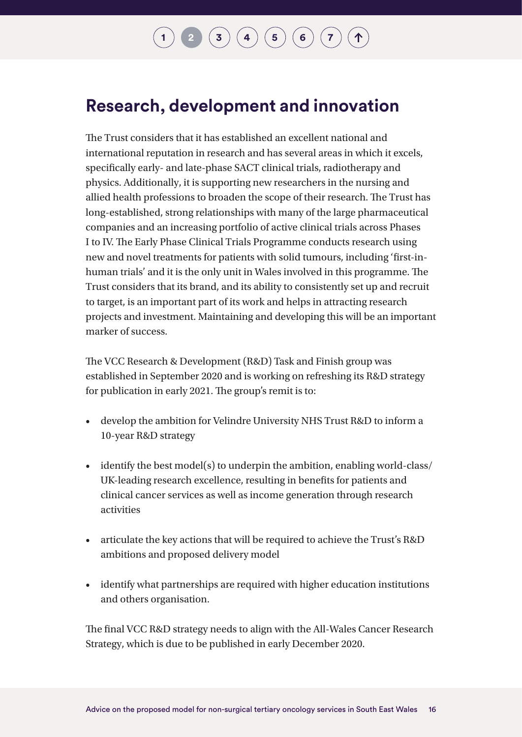### **Research, development and innovation**

The Trust considers that it has established an excellent national and international reputation in research and has several areas in which it excels, specifically early- and late-phase SACT clinical trials, radiotherapy and physics. Additionally, it is supporting new researchers in the nursing and allied health professions to broaden the scope of their research. The Trust has long-established, strong relationships with many of the large pharmaceutical companies and an increasing portfolio of active clinical trials across Phases I to IV. The Early Phase Clinical Trials Programme conducts research using new and novel treatments for patients with solid tumours, including 'first-inhuman trials' and it is the only unit in Wales involved in this programme. The Trust considers that its brand, and its ability to consistently set up and recruit to target, is an important part of its work and helps in attracting research projects and investment. Maintaining and developing this will be an important marker of success.

The VCC Research & Development (R&D) Task and Finish group was established in September 2020 and is working on refreshing its R&D strategy for publication in early 2021. The group's remit is to:

- develop the ambition for Velindre University NHS Trust R&D to inform a 10-year R&D strategy
- identify the best model(s) to underpin the ambition, enabling world-class/ UK-leading research excellence, resulting in benefits for patients and clinical cancer services as well as income generation through research activities
- articulate the key actions that will be required to achieve the Trust's R&D ambitions and proposed delivery model
- identify what partnerships are required with higher education institutions and others organisation.

The final VCC R&D strategy needs to align with the All-Wales Cancer Research Strategy, which is due to be published in early December 2020.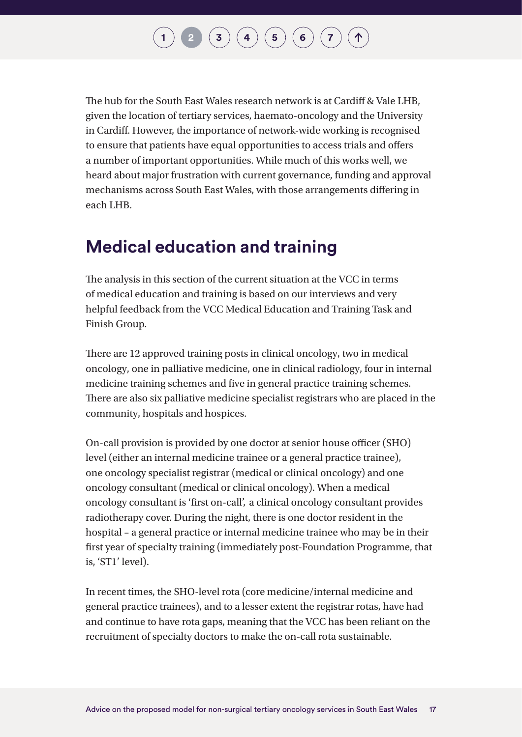The hub for the South East Wales research network is at Cardiff & Vale LHB, given the location of tertiary services, haemato-oncology and the University in Cardiff. However, the importance of network-wide working is recognised to ensure that patients have equal opportunities to access trials and offers a number of important opportunities. While much of this works well, we heard about major frustration with current governance, funding and approval mechanisms across South East Wales, with those arrangements differing in each LHB.

### **Medical education and training**

The analysis in this section of the current situation at the VCC in terms of medical education and training is based on our interviews and very helpful feedback from the VCC Medical Education and Training Task and Finish Group.

There are 12 approved training posts in clinical oncology, two in medical oncology, one in palliative medicine, one in clinical radiology, four in internal medicine training schemes and five in general practice training schemes. There are also six palliative medicine specialist registrars who are placed in the community, hospitals and hospices.

On-call provision is provided by one doctor at senior house officer (SHO) level (either an internal medicine trainee or a general practice trainee), one oncology specialist registrar (medical or clinical oncology) and one oncology consultant (medical or clinical oncology). When a medical oncology consultant is 'first on-call', a clinical oncology consultant provides radiotherapy cover. During the night, there is one doctor resident in the hospital – a general practice or internal medicine trainee who may be in their first year of specialty training (immediately post-Foundation Programme, that is, 'ST1' level).

In recent times, the SHO-level rota (core medicine/internal medicine and general practice trainees), and to a lesser extent the registrar rotas, have had and continue to have rota gaps, meaning that the VCC has been reliant on the recruitment of specialty doctors to make the on-call rota sustainable.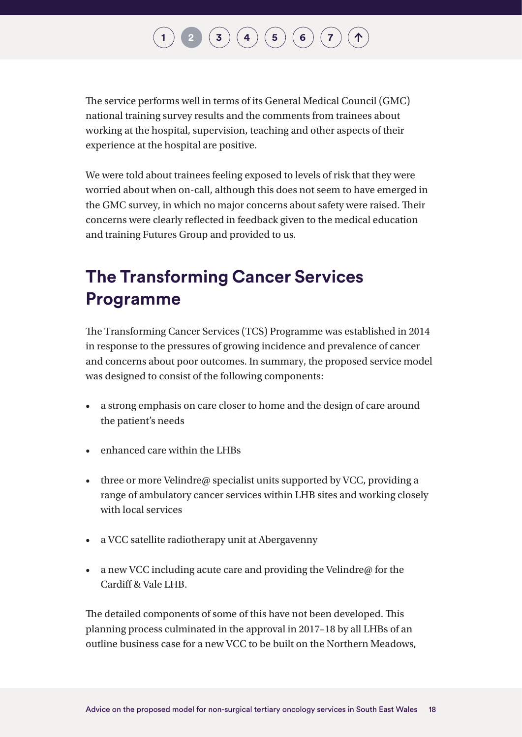# $\mathbf{I} \left( \mathbf{3} \right) \left( \mathbf{4} \right) \left( \mathbf{5} \right) \left( \mathbf{6} \right) \left( \mathbf{7} \right)$  $\mathbf{I} \left( \mathbf{3} \right) \left( \mathbf{4} \right) \left( \mathbf{5} \right) \left( \mathbf{6} \right) \left( \mathbf{7} \right)$  $\mathbf{I} \left( \mathbf{3} \right) \left( \mathbf{4} \right) \left( \mathbf{5} \right) \left( \mathbf{6} \right) \left( \mathbf{7} \right)$  $\mathbf{I} \left( \mathbf{3} \right) \left( \mathbf{4} \right) \left( \mathbf{5} \right) \left( \mathbf{6} \right) \left( \mathbf{7} \right)$  $\mathbf{I} \left( \mathbf{3} \right) \left( \mathbf{4} \right) \left( \mathbf{5} \right) \left( \mathbf{6} \right) \left( \mathbf{7} \right)$  $\mathbf{I} \left( \mathbf{3} \right) \left( \mathbf{4} \right) \left( \mathbf{5} \right) \left( \mathbf{6} \right) \left( \mathbf{7} \right)$  $\mathbf{I} \left( \mathbf{3} \right) \left( \mathbf{4} \right) \left( \mathbf{5} \right) \left( \mathbf{6} \right) \left( \mathbf{7} \right)$  $\mathbf{I} \left( \mathbf{3} \right) \left( \mathbf{4} \right) \left( \mathbf{5} \right) \left( \mathbf{6} \right) \left( \mathbf{7} \right)$  $\mathbf{I} \left( \mathbf{3} \right) \left( \mathbf{4} \right) \left( \mathbf{5} \right) \left( \mathbf{6} \right) \left( \mathbf{7} \right)$  $\mathbf{I} \left( \mathbf{3} \right) \left( \mathbf{4} \right) \left( \mathbf{5} \right) \left( \mathbf{6} \right) \left( \mathbf{7} \right)$  $\mathbf{I} \left( \mathbf{3} \right) \left( \mathbf{4} \right) \left( \mathbf{5} \right) \left( \mathbf{6} \right) \left( \mathbf{7} \right)$

The service performs well in terms of its General Medical Council (GMC) national training survey results and the comments from trainees about working at the hospital, supervision, teaching and other aspects of their experience at the hospital are positive.

We were told about trainees feeling exposed to levels of risk that they were worried about when on-call, although this does not seem to have emerged in the GMC survey, in which no major concerns about safety were raised. Their concerns were clearly reflected in feedback given to the medical education and training Futures Group and provided to us.

### **The Transforming Cancer Services Programme**

The Transforming Cancer Services (TCS) Programme was established in 2014 in response to the pressures of growing incidence and prevalence of cancer and concerns about poor outcomes. In summary, the proposed service model was designed to consist of the following components:

- a strong emphasis on care closer to home and the design of care around the patient's needs
- enhanced care within the LHBs
- three or more Velindre@ specialist units supported by VCC, providing a range of ambulatory cancer services within LHB sites and working closely with local services
- a VCC satellite radiotherapy unit at Abergavenny
- a new VCC including acute care and providing the Velindre $\omega$  for the Cardiff & Vale LHB.

The detailed components of some of this have not been developed. This planning process culminated in the approval in 2017–18 by all LHBs of an outline business case for a new VCC to be built on the Northern Meadows,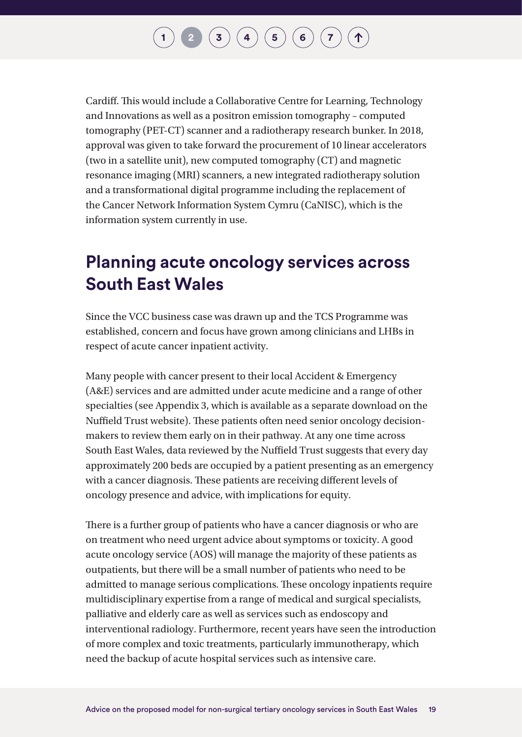Cardiff. This would include a Collaborative Centre for Learning, Technology and Innovations as well as a positron emission tomography – computed tomography (PET-CT) scanner and a radiotherapy research bunker. In 2018, approval was given to take forward the procurement of 10 linear accelerators (two in a satellite unit), new computed tomography (CT) and magnetic resonance imaging (MRI) scanners, a new integrated radiotherapy solution and a transformational digital programme including the replacement of the Cancer Network Information System Cymru (CaNISC), which is the information system currently in use.

### **Planning acute oncology services across South East Wales**

Since the VCC business case was drawn up and the TCS Programme was established, concern and focus have grown among clinicians and LHBs in respect of acute cancer inpatient activity.

Many people with cancer present to their local Accident & Emergency (A&E) services and are admitted under acute medicine and a range of other specialties (see Appendix 3, which is available as a separate download on the Nuffield Trust website). These patients often need senior oncology decisionmakers to review them early on in their pathway. At any one time across South East Wales, data reviewed by the Nuffield Trust suggests that every day approximately 200 beds are occupied by a patient presenting as an emergency with a cancer diagnosis. These patients are receiving different levels of oncology presence and advice, with implications for equity.

There is a further group of patients who have a cancer diagnosis or who are on treatment who need urgent advice about symptoms or toxicity. A good acute oncology service (AOS) will manage the majority of these patients as outpatients, but there will be a small number of patients who need to be admitted to manage serious complications. These oncology inpatients require multidisciplinary expertise from a range of medical and surgical specialists, palliative and elderly care as well as services such as endoscopy and interventional radiology. Furthermore, recent years have seen the introduction of more complex and toxic treatments, particularly immunotherapy, which need the backup of acute hospital services such as intensive care.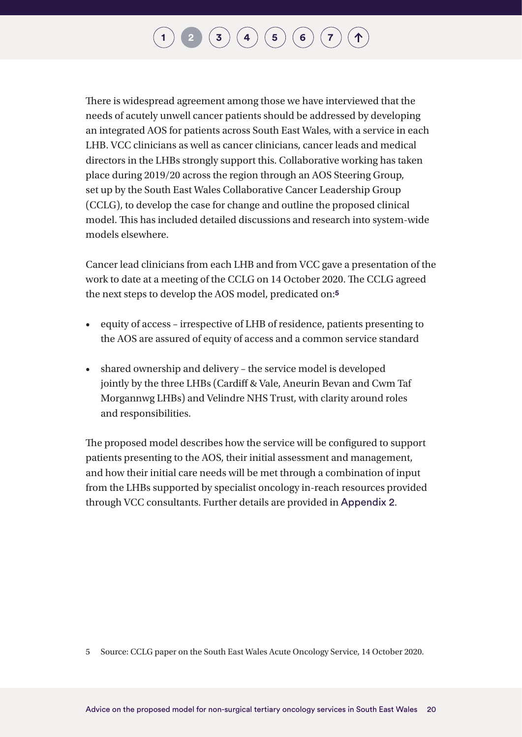There is widespread agreement among those we have interviewed that the needs of acutely unwell cancer patients should be addressed by developing an integrated AOS for patients across South East Wales, with a service in each LHB. VCC clinicians as well as cancer clinicians, cancer leads and medical directors in the LHBs strongly support this. Collaborative working has taken place during 2019/20 across the region through an AOS Steering Group, set up by the South East Wales Collaborative Cancer Leadership Group (CCLG), to develop the case for change and outline the proposed clinical model. This has included detailed discussions and research into system-wide models elsewhere.

Cancer lead clinicians from each LHB and from VCC gave a presentation of the work to date at a meeting of the CCLG on 14 October 2020. The CCLG agreed the next steps to develop the AOS model, predicated on:**<sup>5</sup>**

- equity of access irrespective of LHB of residence, patients presenting to the AOS are assured of equity of access and a common service standard
- shared ownership and delivery the service model is developed jointly by the three LHBs (Cardiff & Vale, Aneurin Bevan and Cwm Taf Morgannwg LHBs) and Velindre NHS Trust, with clarity around roles and responsibilities.

The proposed model describes how the service will be configured to support patients presenting to the AOS, their initial assessment and management, and how their initial care needs will be met through a combination of input from the LHBs supported by specialist oncology in-reach resources provided through VCC consultants. Further details are provided in [Appendix 2](#page-53-1).

5 Source: CCLG paper on the South East Wales Acute Oncology Service, 14 October 2020.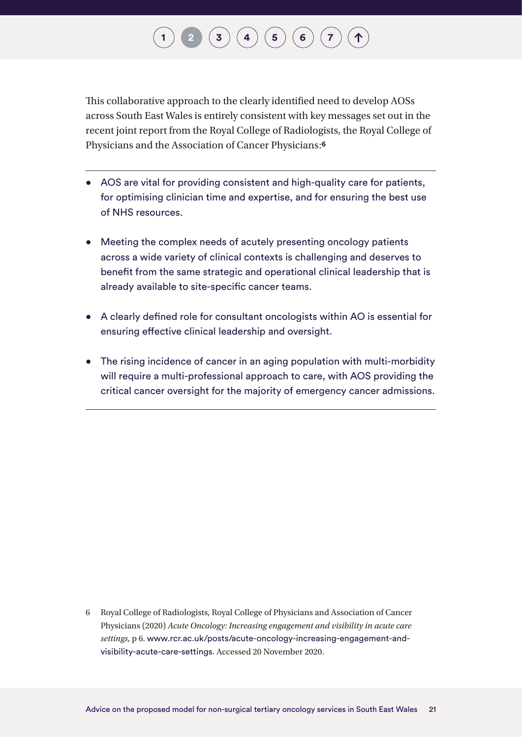This collaborative approach to the clearly identified need to develop AOSs across South East Wales is entirely consistent with key messages set out in the recent joint report from the Royal College of Radiologists, the Royal College of Physicians and the Association of Cancer Physicians:**6**

- AOS are vital for providing consistent and high-quality care for patients, for optimising clinician time and expertise, and for ensuring the best use of NHS resources.
- Meeting the complex needs of acutely presenting oncology patients across a wide variety of clinical contexts is challenging and deserves to benefit from the same strategic and operational clinical leadership that is already available to site-specific cancer teams.
- A clearly defined role for consultant oncologists within AO is essential for ensuring effective clinical leadership and oversight.
- The rising incidence of cancer in an aging population with multi-morbidity will require a multi-professional approach to care, with AOS providing the critical cancer oversight for the majority of emergency cancer admissions.

6 Royal College of Radiologists, Royal College of Physicians and Association of Cancer Physicians (2020) *Acute Oncology: Increasing engagement and visibility in acute care settings*, p 6. [www.rcr.ac.uk/posts/acute-oncology-increasing-engagement-and](http://www.rcr.ac.uk/posts/acute-oncology-increasing-engagement-and-visibility-acute-care-settings)[visibility-acute-care-settings](http://www.rcr.ac.uk/posts/acute-oncology-increasing-engagement-and-visibility-acute-care-settings). Accessed 20 November 2020.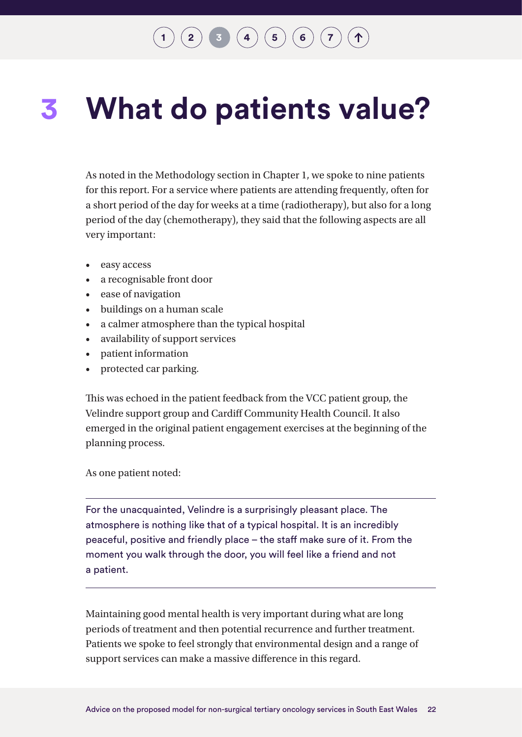# **[1](#page-7-0) [2](#page-12-0) 1 3 [4](#page-24-0) [6](#page-43-0) 6 6 [7](#page-44-0)**

### <span id="page-22-0"></span>**What do patients value? 3**

As noted in the Methodology section in Chapter 1, we spoke to nine patients for this report. For a service where patients are attending frequently, often for a short period of the day for weeks at a time (radiotherapy), but also for a long period of the day (chemotherapy), they said that the following aspects are all very important:

- easy access
- a recognisable front door
- ease of navigation
- buildings on a human scale
- a calmer atmosphere than the typical hospital
- availability of support services
- patient information
- protected car parking.

This was echoed in the patient feedback from the VCC patient group, the Velindre support group and Cardiff Community Health Council. It also emerged in the original patient engagement exercises at the beginning of the planning process.

As one patient noted:

For the unacquainted, Velindre is a surprisingly pleasant place. The atmosphere is nothing like that of a typical hospital. It is an incredibly peaceful, positive and friendly place – the staff make sure of it. From the moment you walk through the door, you will feel like a friend and not a patient.

Maintaining good mental health is very important during what are long periods of treatment and then potential recurrence and further treatment. Patients we spoke to feel strongly that environmental design and a range of support services can make a massive difference in this regard.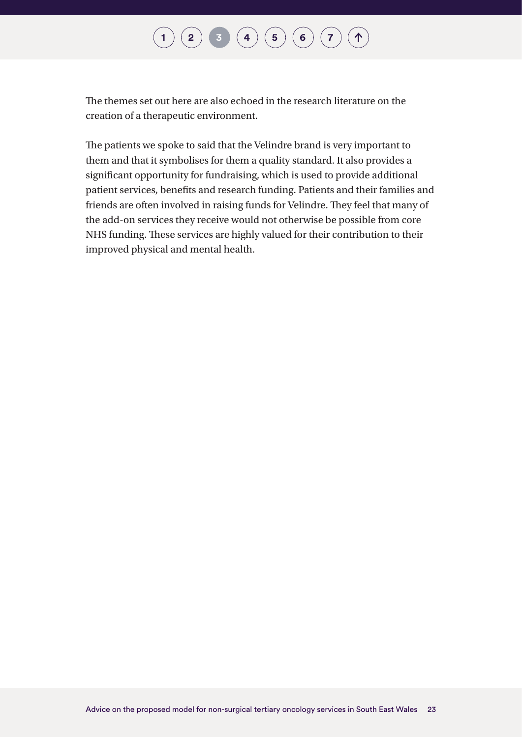#### $\begin{pmatrix} 1 \end{pmatrix}$  $\begin{pmatrix} 1 \end{pmatrix}$  $\begin{pmatrix} 1 \end{pmatrix}$   $\begin{pmatrix} 2 \end{pmatrix}$  $\begin{pmatrix} 2 \end{pmatrix}$  $\begin{pmatrix} 2 \end{pmatrix}$   $\begin{pmatrix} 3 \end{pmatrix}$  $\begin{pmatrix} 3 \end{pmatrix}$  $\begin{pmatrix} 3 \end{pmatrix}$   $\begin{pmatrix} 4 \end{pmatrix}$  $\begin{pmatrix} 4 \end{pmatrix}$  $\begin{pmatrix} 4 \end{pmatrix}$   $\begin{pmatrix} 5 \end{pmatrix}$  $\begin{pmatrix} 5 \end{pmatrix}$  $\begin{pmatrix} 5 \end{pmatrix}$   $\begin{pmatrix} 6 \end{pmatrix}$  $\begin{pmatrix} 6 \end{pmatrix}$  $\begin{pmatrix} 6 \end{pmatrix}$   $\begin{pmatrix} 7 \end{pmatrix}$  $\begin{pmatrix} 7 \end{pmatrix}$  $\begin{pmatrix} 7 \end{pmatrix}$  $\left( \bigwedge$

The themes set out here are also echoed in the research literature on the creation of a therapeutic environment.

The patients we spoke to said that the Velindre brand is very important to them and that it symbolises for them a quality standard. It also provides a significant opportunity for fundraising, which is used to provide additional patient services, benefits and research funding. Patients and their families and friends are often involved in raising funds for Velindre. They feel that many of the add-on services they receive would not otherwise be possible from core NHS funding. These services are highly valued for their contribution to their improved physical and mental health.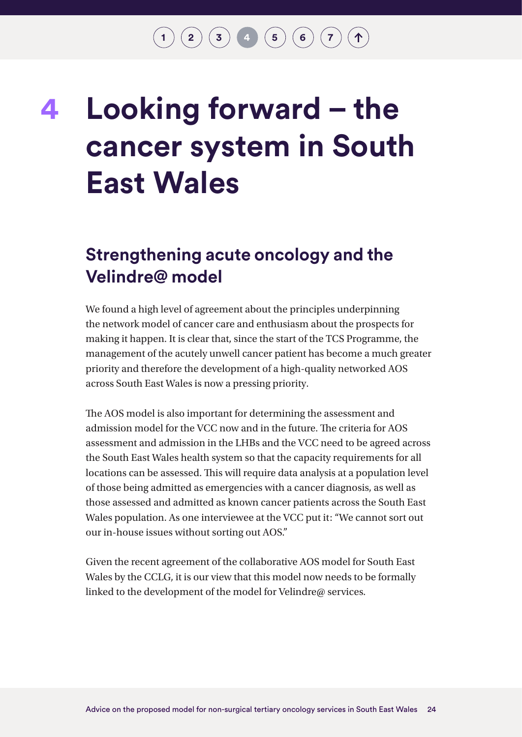# <span id="page-24-0"></span>**Looking forward – the cancer system in South East Wales 4**

### **Strengthening acute oncology and the Velindre@ model**

We found a high level of agreement about the principles underpinning the network model of cancer care and enthusiasm about the prospects for making it happen. It is clear that, since the start of the TCS Programme, the management of the acutely unwell cancer patient has become a much greater priority and therefore the development of a high-quality networked AOS across South East Wales is now a pressing priority.

The AOS model is also important for determining the assessment and admission model for the VCC now and in the future. The criteria for AOS assessment and admission in the LHBs and the VCC need to be agreed across the South East Wales health system so that the capacity requirements for all locations can be assessed. This will require data analysis at a population level of those being admitted as emergencies with a cancer diagnosis, as well as those assessed and admitted as known cancer patients across the South East Wales population. As one interviewee at the VCC put it: "We cannot sort out our in-house issues without sorting out AOS."

Given the recent agreement of the collaborative AOS model for South East Wales by the CCLG, it is our view that this model now needs to be formally linked to the development of the model for Velindre@ services.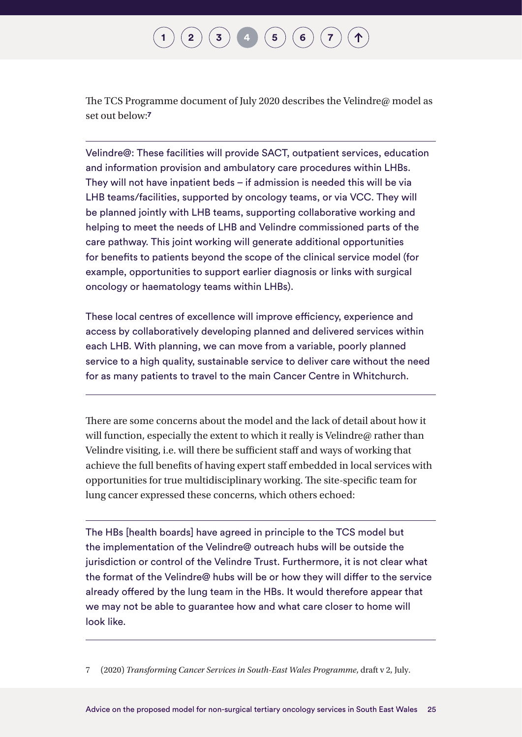### **[2](#page-12-0)**  $(\mathbf{3})$  $(\mathbf{3})$  $(\mathbf{3})$  **[4](#page-24-0)**  $(\mathbf{5})$  $(\mathbf{5})$  $(\mathbf{5})$  **[6](#page-43-0)**

The TCS Programme document of July 2020 describes the Velindre@ model as set out below:**7**

Velindre@: These facilities will provide SACT, outpatient services, education and information provision and ambulatory care procedures within LHBs. They will not have inpatient beds – if admission is needed this will be via LHB teams/facilities, supported by oncology teams, or via VCC. They will be planned jointly with LHB teams, supporting collaborative working and helping to meet the needs of LHB and Velindre commissioned parts of the care pathway. This joint working will generate additional opportunities for benefits to patients beyond the scope of the clinical service model (for example, opportunities to support earlier diagnosis or links with surgical oncology or haematology teams within LHBs).

These local centres of excellence will improve efficiency, experience and access by collaboratively developing planned and delivered services within each LHB. With planning, we can move from a variable, poorly planned service to a high quality, sustainable service to deliver care without the need for as many patients to travel to the main Cancer Centre in Whitchurch.

There are some concerns about the model and the lack of detail about how it will function, especially the extent to which it really is Velindre@ rather than Velindre visiting, i.e. will there be sufficient staff and ways of working that achieve the full benefits of having expert staff embedded in local services with opportunities for true multidisciplinary working. The site-specific team for lung cancer expressed these concerns, which others echoed:

The HBs [health boards] have agreed in principle to the TCS model but the implementation of the Velindre@ outreach hubs will be outside the jurisdiction or control of the Velindre Trust. Furthermore, it is not clear what the format of the Velindre@ hubs will be or how they will differ to the service already offered by the lung team in the HBs. It would therefore appear that we may not be able to guarantee how and what care closer to home will look like.

7 (2020) *Transforming Cancer Services in South-East Wales Programme*, draft v 2, July.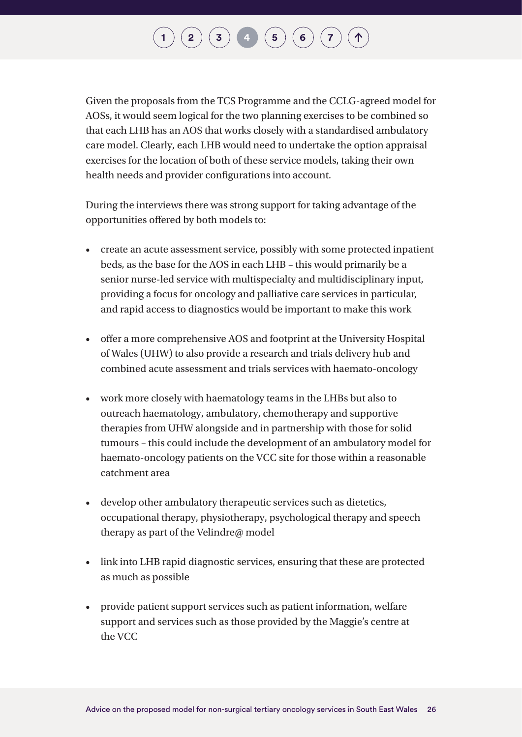# **[2](#page-12-0) ([3](#page-22-0)) [4](#page-24-0) ([5](#page-36-0)) [6](#page-43-0) [7](#page-44-0)**

Given the proposals from the TCS Programme and the CCLG-agreed model for AOSs, it would seem logical for the two planning exercises to be combined so that each LHB has an AOS that works closely with a standardised ambulatory care model. Clearly, each LHB would need to undertake the option appraisal exercises for the location of both of these service models, taking their own health needs and provider configurations into account.

During the interviews there was strong support for taking advantage of the opportunities offered by both models to:

- create an acute assessment service, possibly with some protected inpatient beds, as the base for the AOS in each LHB – this would primarily be a senior nurse-led service with multispecialty and multidisciplinary input, providing a focus for oncology and palliative care services in particular, and rapid access to diagnostics would be important to make this work
- offer a more comprehensive AOS and footprint at the University Hospital of Wales (UHW) to also provide a research and trials delivery hub and combined acute assessment and trials services with haemato-oncology
- work more closely with haematology teams in the LHBs but also to outreach haematology, ambulatory, chemotherapy and supportive therapies from UHW alongside and in partnership with those for solid tumours – this could include the development of an ambulatory model for haemato-oncology patients on the VCC site for those within a reasonable catchment area
- develop other ambulatory therapeutic services such as dietetics, occupational therapy, physiotherapy, psychological therapy and speech therapy as part of the Velindre@ model
- link into LHB rapid diagnostic services, ensuring that these are protected as much as possible
- provide patient support services such as patient information, welfare support and services such as those provided by the Maggie's centre at the VCC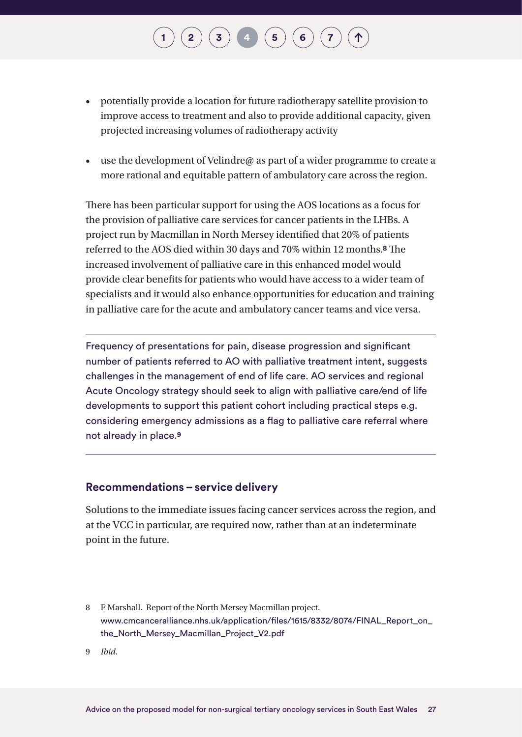- potentially provide a location for future radiotherapy satellite provision to improve access to treatment and also to provide additional capacity, given projected increasing volumes of radiotherapy activity
- use the development of Velindre@ as part of a wider programme to create a more rational and equitable pattern of ambulatory care across the region.

There has been particular support for using the AOS locations as a focus for the provision of palliative care services for cancer patients in the LHBs. A project run by Macmillan in North Mersey identified that 20% of patients referred to the AOS died within 30 days and 70% within 12 months.**8** The increased involvement of palliative care in this enhanced model would provide clear benefits for patients who would have access to a wider team of specialists and it would also enhance opportunities for education and training in palliative care for the acute and ambulatory cancer teams and vice versa.

Frequency of presentations for pain, disease progression and significant number of patients referred to AO with palliative treatment intent, suggests challenges in the management of end of life care. AO services and regional Acute Oncology strategy should seek to align with palliative care/end of life developments to support this patient cohort including practical steps e.g. considering emergency admissions as a flag to palliative care referral where not already in place.**9**

#### **Recommendations – service delivery**

Solutions to the immediate issues facing cancer services across the region, and at the VCC in particular, are required now, rather than at an indeterminate point in the future.

8 E Marshall. Report of the North Mersey Macmillan project. [www.cmcanceralliance.nhs.uk/application/files/1615/8332/8074/FINAL\\_Report\\_on\\_](http://www.cmcanceralliance.nhs.uk/application/files/1615/8332/8074/FINAL_Report_on_the_North_Mersey_Macmillan_Project_V2.pdf) [the\\_North\\_Mersey\\_Macmillan\\_Project\\_V2.pdf](http://www.cmcanceralliance.nhs.uk/application/files/1615/8332/8074/FINAL_Report_on_the_North_Mersey_Macmillan_Project_V2.pdf)

9 *Ibid*.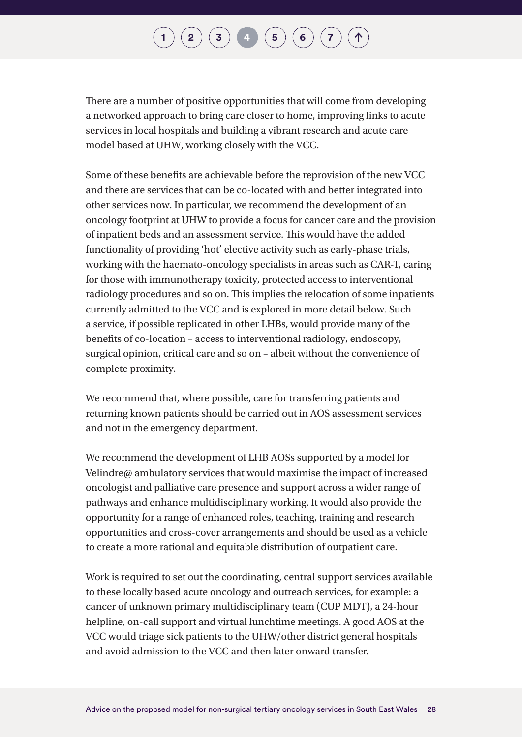There are a number of positive opportunities that will come from developing a networked approach to bring care closer to home, improving links to acute services in local hospitals and building a vibrant research and acute care model based at UHW, working closely with the VCC.

Some of these benefits are achievable before the reprovision of the new VCC and there are services that can be co-located with and better integrated into other services now. In particular, we recommend the development of an oncology footprint at UHW to provide a focus for cancer care and the provision of inpatient beds and an assessment service. This would have the added functionality of providing 'hot' elective activity such as early-phase trials, working with the haemato-oncology specialists in areas such as CAR-T, caring for those with immunotherapy toxicity, protected access to interventional radiology procedures and so on. This implies the relocation of some inpatients currently admitted to the VCC and is explored in more detail below. Such a service, if possible replicated in other LHBs, would provide many of the benefits of co-location – access to interventional radiology, endoscopy, surgical opinion, critical care and so on – albeit without the convenience of complete proximity.

We recommend that, where possible, care for transferring patients and returning known patients should be carried out in AOS assessment services and not in the emergency department.

We recommend the development of LHB AOSs supported by a model for Velindre@ ambulatory services that would maximise the impact of increased oncologist and palliative care presence and support across a wider range of pathways and enhance multidisciplinary working. It would also provide the opportunity for a range of enhanced roles, teaching, training and research opportunities and cross-cover arrangements and should be used as a vehicle to create a more rational and equitable distribution of outpatient care.

Work is required to set out the coordinating, central support services available to these locally based acute oncology and outreach services, for example: a cancer of unknown primary multidisciplinary team (CUP MDT), a 24-hour helpline, on-call support and virtual lunchtime meetings. A good AOS at the VCC would triage sick patients to the UHW/other district general hospitals and avoid admission to the VCC and then later onward transfer.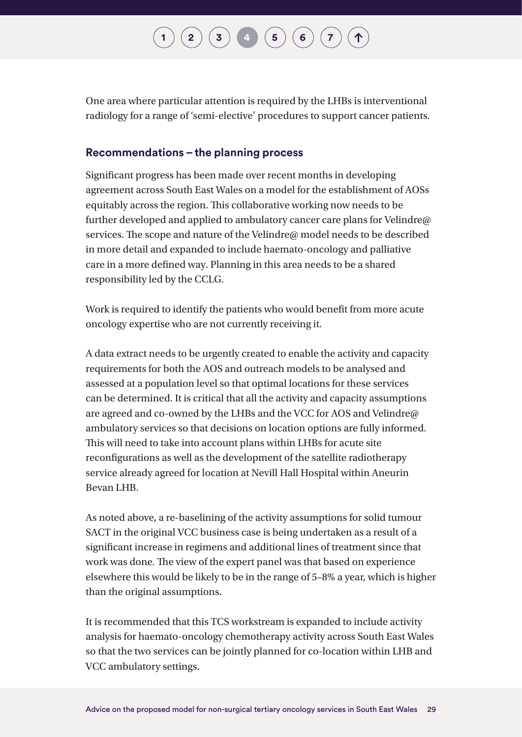One area where particular attention is required by the LHBs is interventional radiology for a range of 'semi-elective' procedures to support cancer patients.

#### **Recommendations – the planning process**

Significant progress has been made over recent months in developing agreement across South East Wales on a model for the establishment of AOSs equitably across the region. This collaborative working now needs to be further developed and applied to ambulatory cancer care plans for Velindre@ services. The scope and nature of the Velindre@ model needs to be described in more detail and expanded to include haemato-oncology and palliative care in a more defined way. Planning in this area needs to be a shared responsibility led by the CCLG.

Work is required to identify the patients who would benefit from more acute oncology expertise who are not currently receiving it.

A data extract needs to be urgently created to enable the activity and capacity requirements for both the AOS and outreach models to be analysed and assessed at a population level so that optimal locations for these services can be determined. It is critical that all the activity and capacity assumptions are agreed and co-owned by the LHBs and the VCC for AOS and Velindre@ ambulatory services so that decisions on location options are fully informed. This will need to take into account plans within LHBs for acute site reconfigurations as well as the development of the satellite radiotherapy service already agreed for location at Nevill Hall Hospital within Aneurin Bevan LHB.

As noted above, a re-baselining of the activity assumptions for solid tumour SACT in the original VCC business case is being undertaken as a result of a significant increase in regimens and additional lines of treatment since that work was done. The view of the expert panel was that based on experience elsewhere this would be likely to be in the range of 5–8% a year, which is higher than the original assumptions.

It is recommended that this TCS workstream is expanded to include activity analysis for haemato-oncology chemotherapy activity across South East Wales so that the two services can be jointly planned for co-location within LHB and VCC ambulatory settings.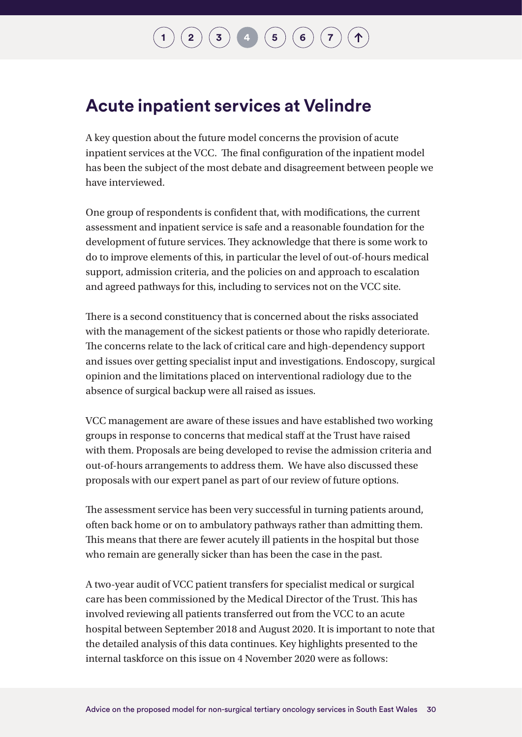# **[1](#page-7-0) [2](#page-12-0)**  $(3)(4)(5)(6)(7)$  $(3)(4)(5)(6)(7)$  $(3)(4)(5)(6)(7)$  $(3)(4)(5)(6)(7)$  $(3)(4)(5)(6)(7)$  $(3)(4)(5)(6)(7)$  $(3)(4)(5)(6)(7)$  $(3)(4)(5)(6)(7)$  $(3)(4)(5)(6)(7)$  $(3)(4)(5)(6)(7)$  $(3)(4)(5)(6)(7)$

### **Acute inpatient services at Velindre**

A key question about the future model concerns the provision of acute inpatient services at the VCC. The final configuration of the inpatient model has been the subject of the most debate and disagreement between people we have interviewed.

One group of respondents is confident that, with modifications, the current assessment and inpatient service is safe and a reasonable foundation for the development of future services. They acknowledge that there is some work to do to improve elements of this, in particular the level of out-of-hours medical support, admission criteria, and the policies on and approach to escalation and agreed pathways for this, including to services not on the VCC site.

There is a second constituency that is concerned about the risks associated with the management of the sickest patients or those who rapidly deteriorate. The concerns relate to the lack of critical care and high-dependency support and issues over getting specialist input and investigations. Endoscopy, surgical opinion and the limitations placed on interventional radiology due to the absence of surgical backup were all raised as issues.

VCC management are aware of these issues and have established two working groups in response to concerns that medical staff at the Trust have raised with them. Proposals are being developed to revise the admission criteria and out-of-hours arrangements to address them. We have also discussed these proposals with our expert panel as part of our review of future options.

The assessment service has been very successful in turning patients around, often back home or on to ambulatory pathways rather than admitting them. This means that there are fewer acutely ill patients in the hospital but those who remain are generally sicker than has been the case in the past.

A two-year audit of VCC patient transfers for specialist medical or surgical care has been commissioned by the Medical Director of the Trust. This has involved reviewing all patients transferred out from the VCC to an acute hospital between September 2018 and August 2020. It is important to note that the detailed analysis of this data continues. Key highlights presented to the internal taskforce on this issue on 4 November 2020 were as follows: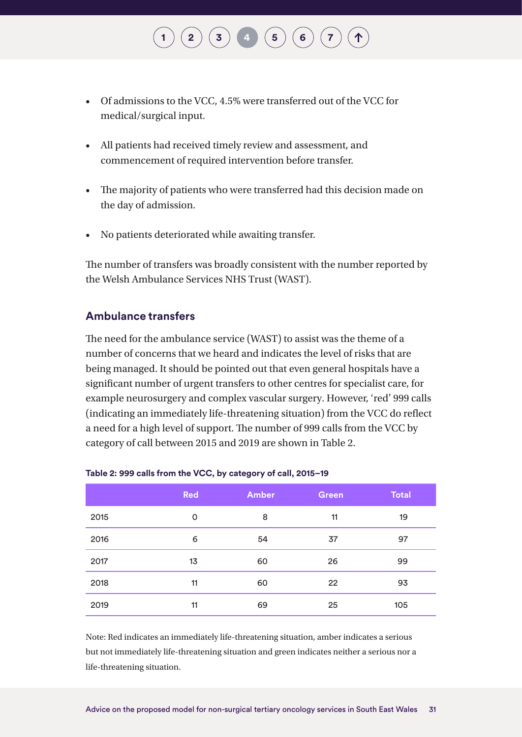#### • Of admissions to the VCC, 4.5% were transferred out of the VCC for medical/surgical input.

 $\binom{2}{3}$  $\binom{2}{3}$  $\binom{2}{3}$  $\binom{2}{3}$  $\binom{2}{3}$  **[4](#page-24-0) [6](#page-43-0) 6 [7](#page-44-0)** 

- All patients had received timely review and assessment, and commencement of required intervention before transfer.
- The majority of patients who were transferred had this decision made on the day of admission.
- No patients deteriorated while awaiting transfer.

The number of transfers was broadly consistent with the number reported by the Welsh Ambulance Services NHS Trust (WAST).

#### **Ambulance transfers**

The need for the ambulance service (WAST) to assist was the theme of a number of concerns that we heard and indicates the level of risks that are being managed. It should be pointed out that even general hospitals have a significant number of urgent transfers to other centres for specialist care, for example neurosurgery and complex vascular surgery. However, 'red' 999 calls (indicating an immediately life-threatening situation) from the VCC do reflect a need for a high level of support. The number of 999 calls from the VCC by category of call between 2015 and 2019 are shown in Table 2.

|      | <b>Red</b> | <b>Amber</b> | <b>Green</b> | <b>Total</b> |
|------|------------|--------------|--------------|--------------|
| 2015 | 0          | 8            | 11           | 19           |
| 2016 | 6          | 54           | 37           | 97           |
| 2017 | 13         | 60           | 26           | 99           |
| 2018 | 11         | 60           | 22           | 93           |
| 2019 | 11         | 69           | 25           | 105          |

#### **Table 2: 999 calls from the VCC, by category of call, 2015–19**

Note: Red indicates an immediately life-threatening situation, amber indicates a serious but not immediately life-threatening situation and green indicates neither a serious nor a life-threatening situation.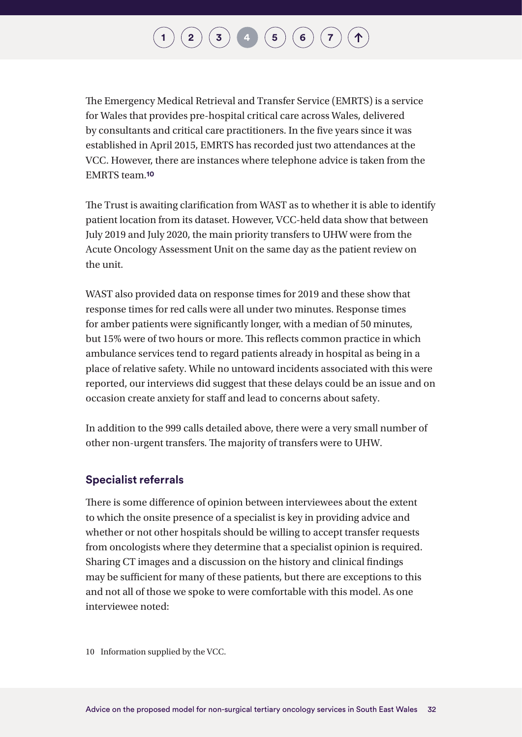The Emergency Medical Retrieval and Transfer Service (EMRTS) is a service for Wales that provides pre-hospital critical care across Wales, delivered by consultants and critical care practitioners. In the five years since it was established in April 2015, EMRTS has recorded just two attendances at the VCC. However, there are instances where telephone advice is taken from the EMRTS team.**10**

The Trust is awaiting clarification from WAST as to whether it is able to identify patient location from its dataset. However, VCC-held data show that between July 2019 and July 2020, the main priority transfers to UHW were from the Acute Oncology Assessment Unit on the same day as the patient review on the unit.

WAST also provided data on response times for 2019 and these show that response times for red calls were all under two minutes. Response times for amber patients were significantly longer, with a median of 50 minutes, but 15% were of two hours or more. This reflects common practice in which ambulance services tend to regard patients already in hospital as being in a place of relative safety. While no untoward incidents associated with this were reported, our interviews did suggest that these delays could be an issue and on occasion create anxiety for staff and lead to concerns about safety.

In addition to the 999 calls detailed above, there were a very small number of other non-urgent transfers. The majority of transfers were to UHW.

#### **Specialist referrals**

There is some difference of opinion between interviewees about the extent to which the onsite presence of a specialist is key in providing advice and whether or not other hospitals should be willing to accept transfer requests from oncologists where they determine that a specialist opinion is required. Sharing CT images and a discussion on the history and clinical findings may be sufficient for many of these patients, but there are exceptions to this and not all of those we spoke to were comfortable with this model. As one interviewee noted:

10 Information supplied by the VCC.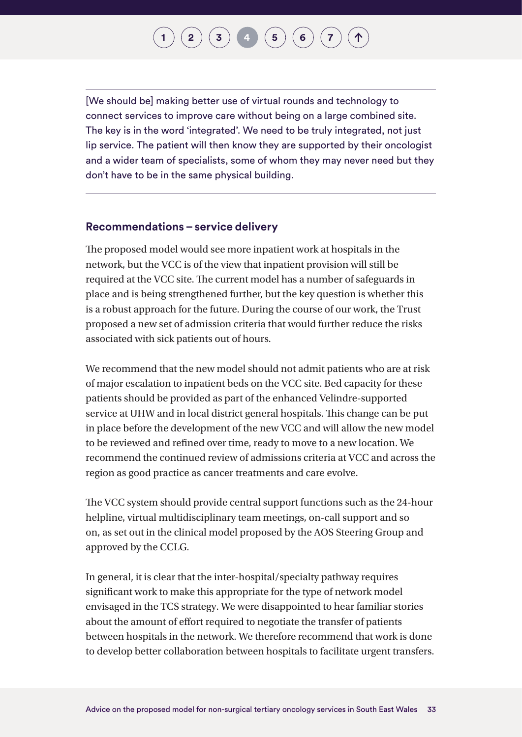## **[2](#page-12-0)**  $(\mathbf{3})$  $(\mathbf{3})$  $(\mathbf{3})$  **[4](#page-24-0)**  $(\mathbf{5})$  $(\mathbf{5})$  $(\mathbf{5})$  **[6](#page-43-0)**

[We should be] making better use of virtual rounds and technology to connect services to improve care without being on a large combined site. The key is in the word 'integrated'. We need to be truly integrated, not just lip service. The patient will then know they are supported by their oncologist and a wider team of specialists, some of whom they may never need but they don't have to be in the same physical building.

#### **Recommendations – service delivery**

The proposed model would see more inpatient work at hospitals in the network, but the VCC is of the view that inpatient provision will still be required at the VCC site. The current model has a number of safeguards in place and is being strengthened further, but the key question is whether this is a robust approach for the future. During the course of our work, the Trust proposed a new set of admission criteria that would further reduce the risks associated with sick patients out of hours.

We recommend that the new model should not admit patients who are at risk of major escalation to inpatient beds on the VCC site. Bed capacity for these patients should be provided as part of the enhanced Velindre-supported service at UHW and in local district general hospitals. This change can be put in place before the development of the new VCC and will allow the new model to be reviewed and refined over time, ready to move to a new location. We recommend the continued review of admissions criteria at VCC and across the region as good practice as cancer treatments and care evolve.

The VCC system should provide central support functions such as the 24-hour helpline, virtual multidisciplinary team meetings, on-call support and so on, as set out in the clinical model proposed by the AOS Steering Group and approved by the CCLG.

In general, it is clear that the inter-hospital/specialty pathway requires significant work to make this appropriate for the type of network model envisaged in the TCS strategy. We were disappointed to hear familiar stories about the amount of effort required to negotiate the transfer of patients between hospitals in the network. We therefore recommend that work is done to develop better collaboration between hospitals to facilitate urgent transfers.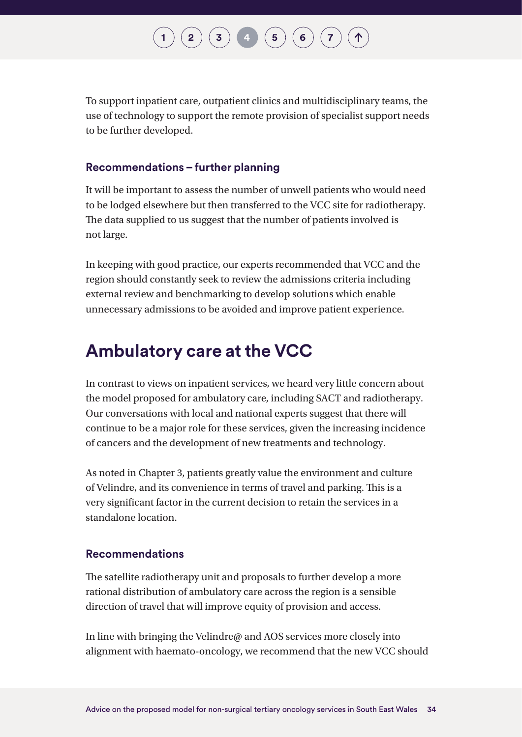**[2](#page-12-0) ([3](#page-22-0)) [4](#page-24-0) ([5](#page-36-0)) [6](#page-43-0) [7](#page-44-0)** 

To support inpatient care, outpatient clinics and multidisciplinary teams, the use of technology to support the remote provision of specialist support needs to be further developed.

#### **Recommendations – further planning**

It will be important to assess the number of unwell patients who would need to be lodged elsewhere but then transferred to the VCC site for radiotherapy. The data supplied to us suggest that the number of patients involved is not large.

In keeping with good practice, our experts recommended that VCC and the region should constantly seek to review the admissions criteria including external review and benchmarking to develop solutions which enable unnecessary admissions to be avoided and improve patient experience.

### **Ambulatory care at the VCC**

In contrast to views on inpatient services, we heard very little concern about the model proposed for ambulatory care, including SACT and radiotherapy. Our conversations with local and national experts suggest that there will continue to be a major role for these services, given the increasing incidence of cancers and the development of new treatments and technology.

As noted in Chapter 3, patients greatly value the environment and culture of Velindre, and its convenience in terms of travel and parking. This is a very significant factor in the current decision to retain the services in a standalone location.

#### **Recommendations**

The satellite radiotherapy unit and proposals to further develop a more rational distribution of ambulatory care across the region is a sensible direction of travel that will improve equity of provision and access.

In line with bringing the Velindre@ and AOS services more closely into alignment with haemato-oncology, we recommend that the new VCC should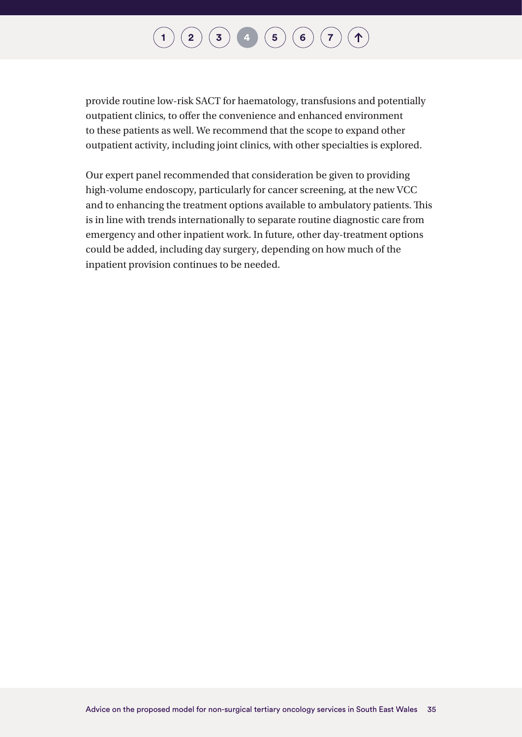provide routine low-risk SACT for haematology, transfusions and potentially outpatient clinics, to offer the convenience and enhanced environment to these patients as well. We recommend that the scope to expand other outpatient activity, including joint clinics, with other specialties is explored.

Our expert panel recommended that consideration be given to providing high-volume endoscopy, particularly for cancer screening, at the new VCC and to enhancing the treatment options available to ambulatory patients. This is in line with trends internationally to separate routine diagnostic care from emergency and other inpatient work. In future, other day-treatment options could be added, including day surgery, depending on how much of the inpatient provision continues to be needed.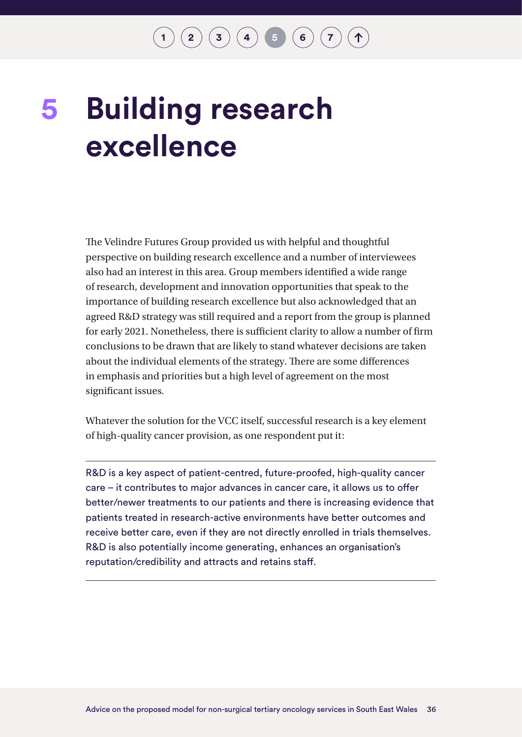# <span id="page-36-0"></span>**Building research excellence 5**

The Velindre Futures Group provided us with helpful and thoughtful perspective on building research excellence and a number of interviewees also had an interest in this area. Group members identified a wide range of research, development and innovation opportunities that speak to the importance of building research excellence but also acknowledged that an agreed R&D strategy was still required and a report from the group is planned for early 2021. Nonetheless, there is sufficient clarity to allow a number of firm conclusions to be drawn that are likely to stand whatever decisions are taken about the individual elements of the strategy. There are some differences in emphasis and priorities but a high level of agreement on the most significant issues.

Whatever the solution for the VCC itself, successful research is a key element of high-quality cancer provision, as one respondent put it:

R&D is a key aspect of patient-centred, future-proofed, high-quality cancer care – it contributes to major advances in cancer care, it allows us to offer better/newer treatments to our patients and there is increasing evidence that patients treated in research-active environments have better outcomes and receive better care, even if they are not directly enrolled in trials themselves. R&D is also potentially income generating, enhances an organisation's reputation/credibility and attracts and retains staff.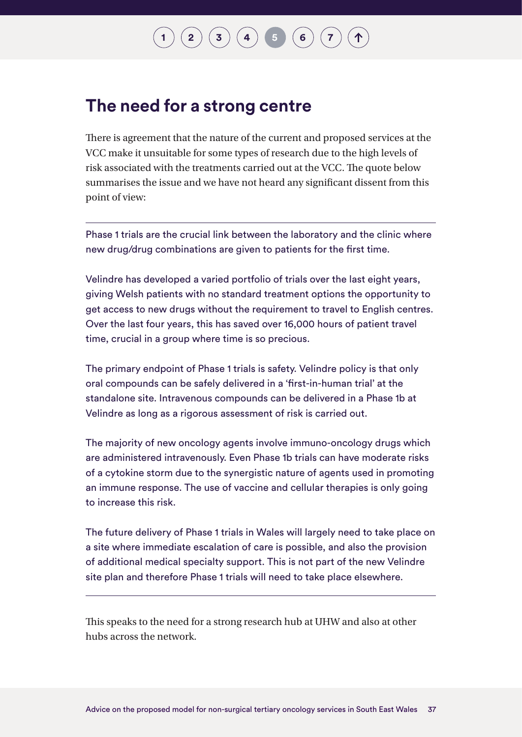# $\binom{2}{\frac{3}{4}}\binom{4}{4}\binom{5}{6}$  $\binom{2}{\frac{3}{4}}\binom{4}{4}\binom{5}{6}$  $\binom{2}{\frac{3}{4}}\binom{4}{4}\binom{5}{6}$  $\binom{2}{\frac{3}{4}}\binom{4}{4}\binom{5}{6}$  $\binom{2}{\frac{3}{4}}\binom{4}{4}\binom{5}{6}$  $\binom{2}{\frac{3}{4}}\binom{4}{4}\binom{5}{6}$  $\binom{2}{\frac{3}{4}}\binom{4}{4}\binom{5}{6}$  $\binom{2}{\frac{3}{4}}\binom{4}{4}\binom{5}{6}$  $\binom{2}{\frac{3}{4}}\binom{4}{4}\binom{5}{6}$  $\binom{2}{\frac{3}{4}}\binom{4}{4}\binom{5}{6}$  $\binom{2}{\frac{3}{4}}\binom{4}{4}\binom{5}{6}$

### **The need for a strong centre**

There is agreement that the nature of the current and proposed services at the VCC make it unsuitable for some types of research due to the high levels of risk associated with the treatments carried out at the VCC. The quote below summarises the issue and we have not heard any significant dissent from this point of view:

Phase 1 trials are the crucial link between the laboratory and the clinic where new drug/drug combinations are given to patients for the first time.

Velindre has developed a varied portfolio of trials over the last eight years, giving Welsh patients with no standard treatment options the opportunity to get access to new drugs without the requirement to travel to English centres. Over the last four years, this has saved over 16,000 hours of patient travel time, crucial in a group where time is so precious.

The primary endpoint of Phase 1 trials is safety. Velindre policy is that only oral compounds can be safely delivered in a 'first-in-human trial' at the standalone site. Intravenous compounds can be delivered in a Phase 1b at Velindre as long as a rigorous assessment of risk is carried out.

The majority of new oncology agents involve immuno-oncology drugs which are administered intravenously. Even Phase 1b trials can have moderate risks of a cytokine storm due to the synergistic nature of agents used in promoting an immune response. The use of vaccine and cellular therapies is only going to increase this risk.

The future delivery of Phase 1 trials in Wales will largely need to take place on a site where immediate escalation of care is possible, and also the provision of additional medical specialty support. This is not part of the new Velindre site plan and therefore Phase 1 trials will need to take place elsewhere.

This speaks to the need for a strong research hub at UHW and also at other hubs across the network.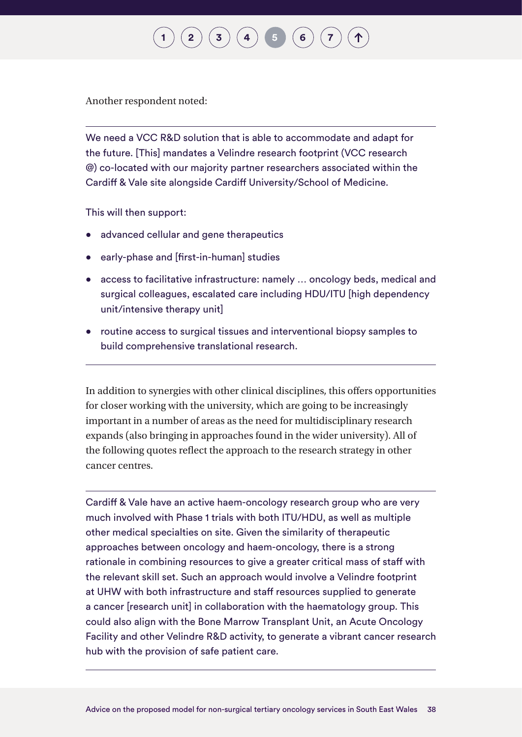Another respondent noted:

We need a VCC R&D solution that is able to accommodate and adapt for the future. [This] mandates a Velindre research footprint (VCC research @) co-located with our majority partner researchers associated within the Cardiff & Vale site alongside Cardiff University/School of Medicine.

**[2](#page-12-0)**  $(\mathbf{3}) (\mathbf{4}) (\mathbf{5}) (\mathbf{6})$  $(\mathbf{3}) (\mathbf{4}) (\mathbf{5}) (\mathbf{6})$  $(\mathbf{3}) (\mathbf{4}) (\mathbf{5}) (\mathbf{6})$  $(\mathbf{3}) (\mathbf{4}) (\mathbf{5}) (\mathbf{6})$  $(\mathbf{3}) (\mathbf{4}) (\mathbf{5}) (\mathbf{6})$  $(\mathbf{3}) (\mathbf{4}) (\mathbf{5}) (\mathbf{6})$  $(\mathbf{3}) (\mathbf{4}) (\mathbf{5}) (\mathbf{6})$  $(\mathbf{3}) (\mathbf{4}) (\mathbf{5}) (\mathbf{6})$  $(\mathbf{3}) (\mathbf{4}) (\mathbf{5}) (\mathbf{6})$ 

This will then support:

- advanced cellular and gene therapeutics
- early-phase and [first-in-human] studies
- access to facilitative infrastructure: namely ... oncology beds, medical and surgical colleagues, escalated care including HDU/ITU [high dependency unit/intensive therapy unit]
- routine access to surgical tissues and interventional biopsy samples to build comprehensive translational research.

In addition to synergies with other clinical disciplines, this offers opportunities for closer working with the university, which are going to be increasingly important in a number of areas as the need for multidisciplinary research expands (also bringing in approaches found in the wider university). All of the following quotes reflect the approach to the research strategy in other cancer centres.

Cardiff & Vale have an active haem-oncology research group who are very much involved with Phase 1 trials with both ITU/HDU, as well as multiple other medical specialties on site. Given the similarity of therapeutic approaches between oncology and haem-oncology, there is a strong rationale in combining resources to give a greater critical mass of staff with the relevant skill set. Such an approach would involve a Velindre footprint at UHW with both infrastructure and staff resources supplied to generate a cancer [research unit] in collaboration with the haematology group. This could also align with the Bone Marrow Transplant Unit, an Acute Oncology Facility and other Velindre R&D activity, to generate a vibrant cancer research hub with the provision of safe patient care.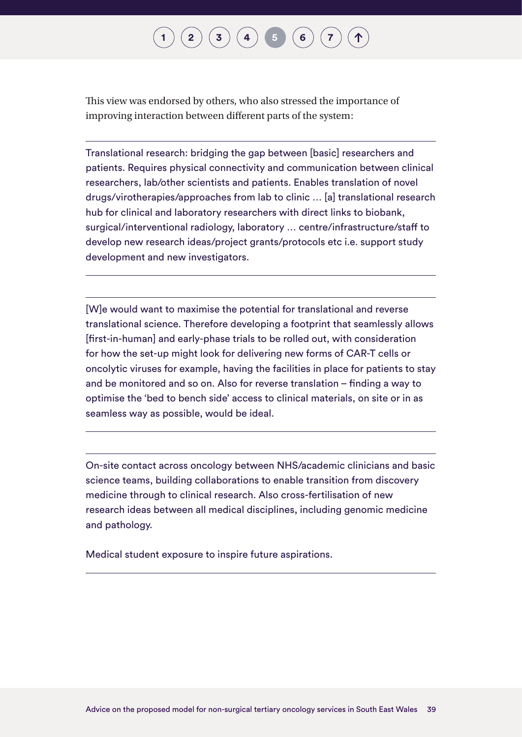## $\binom{2}{3}\binom{3}{4}\binom{5}{5}\binom{6}{7}$  $\binom{2}{3}\binom{3}{4}\binom{5}{5}\binom{6}{7}$  $\binom{2}{3}\binom{3}{4}\binom{5}{5}\binom{6}{7}$  $\binom{2}{3}\binom{3}{4}\binom{5}{5}\binom{6}{7}$  $\binom{2}{3}\binom{3}{4}\binom{5}{5}\binom{6}{7}$  $\binom{2}{3}\binom{3}{4}\binom{5}{5}\binom{6}{7}$  $\binom{2}{3}\binom{3}{4}\binom{5}{5}\binom{6}{7}$  $\binom{2}{3}\binom{3}{4}\binom{5}{5}\binom{6}{7}$  $\binom{2}{3}\binom{3}{4}\binom{5}{5}\binom{6}{7}$  $\binom{2}{3}\binom{3}{4}\binom{5}{5}\binom{6}{7}$  $\binom{2}{3}\binom{3}{4}\binom{5}{5}\binom{6}{7}$  $\binom{2}{3}\binom{3}{4}\binom{5}{5}\binom{6}{7}$  $\binom{2}{3}\binom{3}{4}\binom{5}{5}\binom{6}{7}$

This view was endorsed by others, who also stressed the importance of improving interaction between different parts of the system:

Translational research: bridging the gap between [basic] researchers and patients. Requires physical connectivity and communication between clinical researchers, lab/other scientists and patients. Enables translation of novel drugs/virotherapies/approaches from lab to clinic … [a] translational research hub for clinical and laboratory researchers with direct links to biobank, surgical/interventional radiology, laboratory … centre/infrastructure/staff to develop new research ideas/project grants/protocols etc i.e. support study development and new investigators.

[W]e would want to maximise the potential for translational and reverse translational science. Therefore developing a footprint that seamlessly allows [first-in-human] and early-phase trials to be rolled out, with consideration for how the set-up might look for delivering new forms of CAR-T cells or oncolytic viruses for example, having the facilities in place for patients to stay and be monitored and so on. Also for reverse translation – finding a way to optimise the 'bed to bench side' access to clinical materials, on site or in as seamless way as possible, would be ideal.

On-site contact across oncology between NHS/academic clinicians and basic science teams, building collaborations to enable transition from discovery medicine through to clinical research. Also cross-fertilisation of new research ideas between all medical disciplines, including genomic medicine and pathology.

Medical student exposure to inspire future aspirations.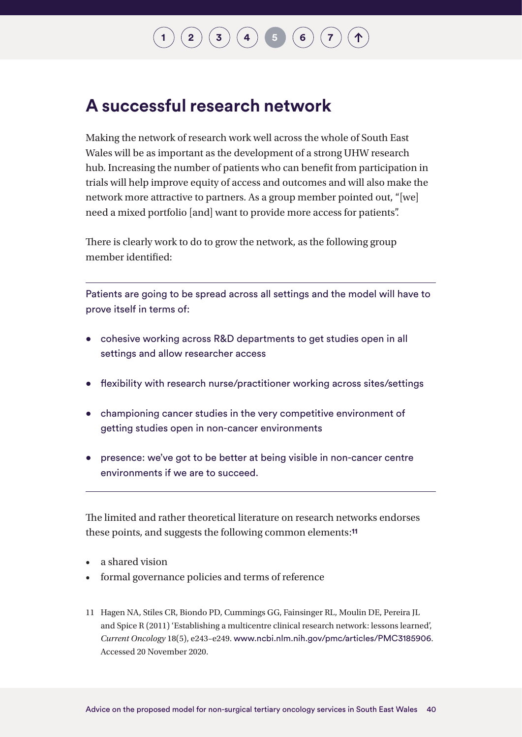# $\binom{1}{3}\binom{4}{4}\binom{5}{5}\binom{6}{6}$  $\binom{1}{3}\binom{4}{4}\binom{5}{5}\binom{6}{6}$  $\binom{1}{3}\binom{4}{4}\binom{5}{5}\binom{6}{6}$  $\binom{1}{3}\binom{4}{4}\binom{5}{5}\binom{6}{6}$  $\binom{1}{3}\binom{4}{4}\binom{5}{5}\binom{6}{6}$  $\binom{1}{3}\binom{4}{4}\binom{5}{5}\binom{6}{6}$  $\binom{1}{3}\binom{4}{4}\binom{5}{5}\binom{6}{6}$  $\binom{1}{3}\binom{4}{4}\binom{5}{5}\binom{6}{6}$  $\binom{1}{3}\binom{4}{4}\binom{5}{5}\binom{6}{6}$  $\binom{1}{3}\binom{4}{4}\binom{5}{5}\binom{6}{6}$  $\binom{1}{3}\binom{4}{4}\binom{5}{5}\binom{6}{6}$

### **A successful research network**

Making the network of research work well across the whole of South East Wales will be as important as the development of a strong UHW research hub. Increasing the number of patients who can benefit from participation in trials will help improve equity of access and outcomes and will also make the network more attractive to partners. As a group member pointed out, "[we] need a mixed portfolio [and] want to provide more access for patients".

There is clearly work to do to grow the network, as the following group member identified:

Patients are going to be spread across all settings and the model will have to prove itself in terms of:

- cohesive working across R&D departments to get studies open in all settings and allow researcher access
- flexibility with research nurse/practitioner working across sites/settings
- championing cancer studies in the very competitive environment of getting studies open in non-cancer environments
- presence: we've got to be better at being visible in non-cancer centre environments if we are to succeed.

The limited and rather theoretical literature on research networks endorses these points, and suggests the following common elements:**11**

- a shared vision
- formal governance policies and terms of reference
- 11 Hagen NA, Stiles CR, Biondo PD, Cummings GG, Fainsinger RL, Moulin DE, Pereira JL and Spice R (2011) 'Establishing a multicentre clinical research network: lessons learned', *Current Oncology* 18(5), e243–e249. [www.ncbi.nlm.nih.gov/pmc/articles/PMC3185906](http://www.ncbi.nlm.nih.gov/pmc/articles/PMC3185906). Accessed 20 November 2020.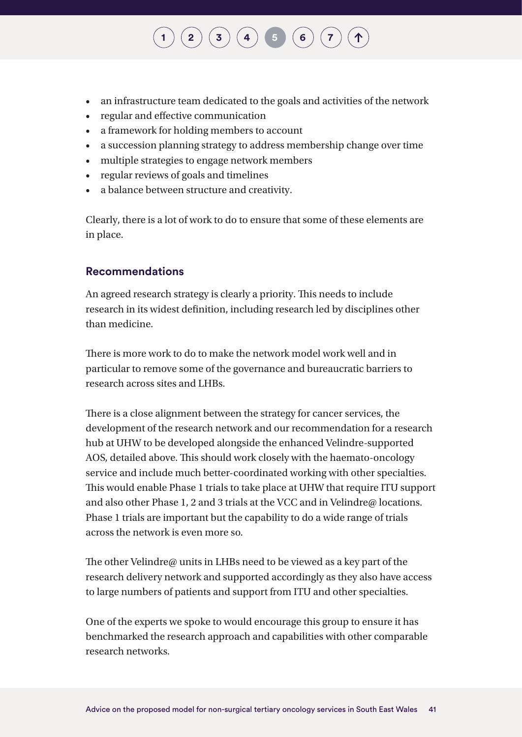#### • an infrastructure team dedicated to the goals and activities of the network

 $\binom{2}{3}\binom{3}{4}$  $\binom{2}{3}\binom{3}{4}$  $\binom{2}{3}\binom{3}{4}$  $\binom{2}{3}\binom{3}{4}$  $\binom{2}{3}\binom{3}{4}$  $\binom{2}{3}\binom{3}{4}$  $\binom{2}{3}\binom{3}{4}$  **[5](#page-36-0) [6](#page-43-0)**  $\binom{7}{4}$  $\binom{7}{4}$  $\binom{7}{4}$ 

- regular and effective communication
- a framework for holding members to account
- a succession planning strategy to address membership change over time
- multiple strategies to engage network members
- regular reviews of goals and timelines
- a balance between structure and creativity.

Clearly, there is a lot of work to do to ensure that some of these elements are in place.

#### **Recommendations**

An agreed research strategy is clearly a priority. This needs to include research in its widest definition, including research led by disciplines other than medicine.

There is more work to do to make the network model work well and in particular to remove some of the governance and bureaucratic barriers to research across sites and LHBs.

There is a close alignment between the strategy for cancer services, the development of the research network and our recommendation for a research hub at UHW to be developed alongside the enhanced Velindre-supported AOS, detailed above. This should work closely with the haemato-oncology service and include much better-coordinated working with other specialties. This would enable Phase 1 trials to take place at UHW that require ITU support and also other Phase 1, 2 and 3 trials at the VCC and in Velindre@ locations. Phase 1 trials are important but the capability to do a wide range of trials across the network is even more so.

The other Velindre@ units in LHBs need to be viewed as a key part of the research delivery network and supported accordingly as they also have access to large numbers of patients and support from ITU and other specialties.

One of the experts we spoke to would encourage this group to ensure it has benchmarked the research approach and capabilities with other comparable research networks.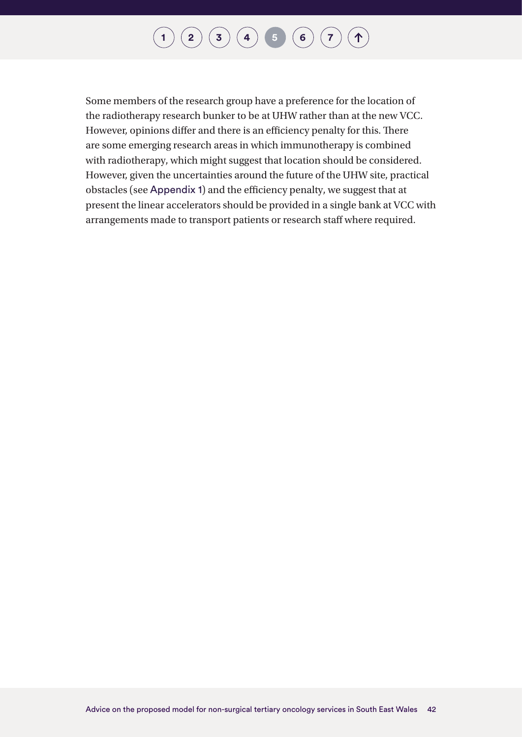#### **[1](#page-7-0) [2](#page-12-0) [3](#page-22-0) [4](#page-24-0) [5](#page-36-0) [6](#page-43-0) [7](#page-44-0)**  $\uparrow$

Some members of the research group have a preference for the location of the radiotherapy research bunker to be at UHW rather than at the new VCC. However, opinions differ and there is an efficiency penalty for this. There are some emerging research areas in which immunotherapy is combined with radiotherapy, which might suggest that location should be considered. However, given the uncertainties around the future of the UHW site, practical obstacles (see [Appendix 1](#page-47-1)) and the efficiency penalty, we suggest that at present the linear accelerators should be provided in a single bank at VCC with arrangements made to transport patients or research staff where required.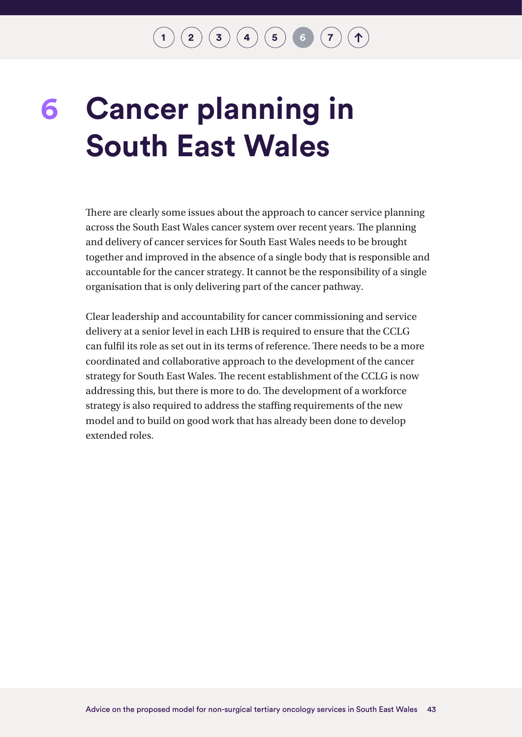$\binom{2}{3}\binom{3}{4}\binom{5}{5}\binom{6}{7}$  $\binom{2}{3}\binom{3}{4}\binom{5}{5}\binom{6}{7}$  $\binom{2}{3}\binom{3}{4}\binom{5}{5}\binom{6}{7}$  $\binom{2}{3}\binom{3}{4}\binom{5}{5}\binom{6}{7}$  $\binom{2}{3}\binom{3}{4}\binom{5}{5}\binom{6}{7}$  $\binom{2}{3}\binom{3}{4}\binom{5}{5}\binom{6}{7}$  $\binom{2}{3}\binom{3}{4}\binom{5}{5}\binom{6}{7}$  $\binom{2}{3}\binom{3}{4}\binom{5}{5}\binom{6}{7}$  $\binom{2}{3}\binom{3}{4}\binom{5}{5}\binom{6}{7}$  $\binom{2}{3}\binom{3}{4}\binom{5}{5}\binom{6}{7}$  $\binom{2}{3}\binom{3}{4}\binom{5}{5}\binom{6}{7}$ 

# <span id="page-43-0"></span>**Cancer planning in South East Wales 6**

There are clearly some issues about the approach to cancer service planning across the South East Wales cancer system over recent years. The planning and delivery of cancer services for South East Wales needs to be brought together and improved in the absence of a single body that is responsible and accountable for the cancer strategy. It cannot be the responsibility of a single organisation that is only delivering part of the cancer pathway.

Clear leadership and accountability for cancer commissioning and service delivery at a senior level in each LHB is required to ensure that the CCLG can fulfil its role as set out in its terms of reference. There needs to be a more coordinated and collaborative approach to the development of the cancer strategy for South East Wales. The recent establishment of the CCLG is now addressing this, but there is more to do. The development of a workforce strategy is also required to address the staffing requirements of the new model and to build on good work that has already been done to develop extended roles.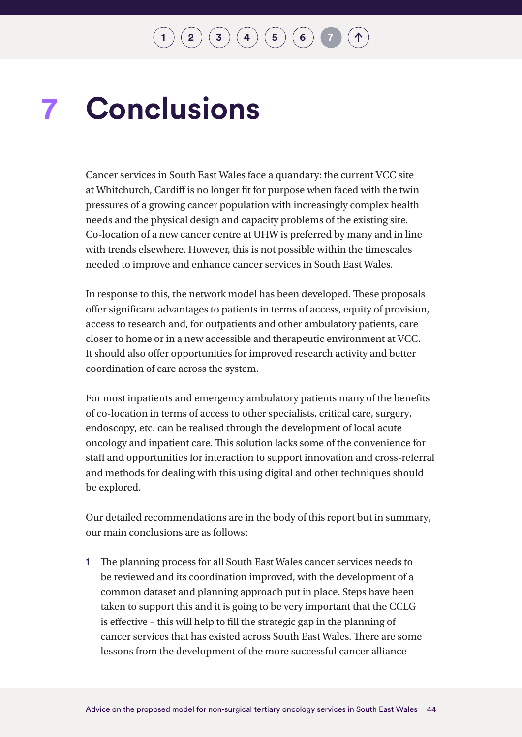### <span id="page-44-0"></span>**Conclusions 7**

Cancer services in South East Wales face a quandary: the current VCC site at Whitchurch, Cardiff is no longer fit for purpose when faced with the twin pressures of a growing cancer population with increasingly complex health needs and the physical design and capacity problems of the existing site. Co-location of a new cancer centre at UHW is preferred by many and in line with trends elsewhere. However, this is not possible within the timescales needed to improve and enhance cancer services in South East Wales.

In response to this, the network model has been developed. These proposals offer significant advantages to patients in terms of access, equity of provision, access to research and, for outpatients and other ambulatory patients, care closer to home or in a new accessible and therapeutic environment at VCC. It should also offer opportunities for improved research activity and better coordination of care across the system.

For most inpatients and emergency ambulatory patients many of the benefits of co-location in terms of access to other specialists, critical care, surgery, endoscopy, etc. can be realised through the development of local acute oncology and inpatient care. This solution lacks some of the convenience for staff and opportunities for interaction to support innovation and cross-referral and methods for dealing with this using digital and other techniques should be explored.

Our detailed recommendations are in the body of this report but in summary, our main conclusions are as follows:

1 The planning process for all South East Wales cancer services needs to be reviewed and its coordination improved, with the development of a common dataset and planning approach put in place. Steps have been taken to support this and it is going to be very important that the CCLG is effective – this will help to fill the strategic gap in the planning of cancer services that has existed across South East Wales. There are some lessons from the development of the more successful cancer alliance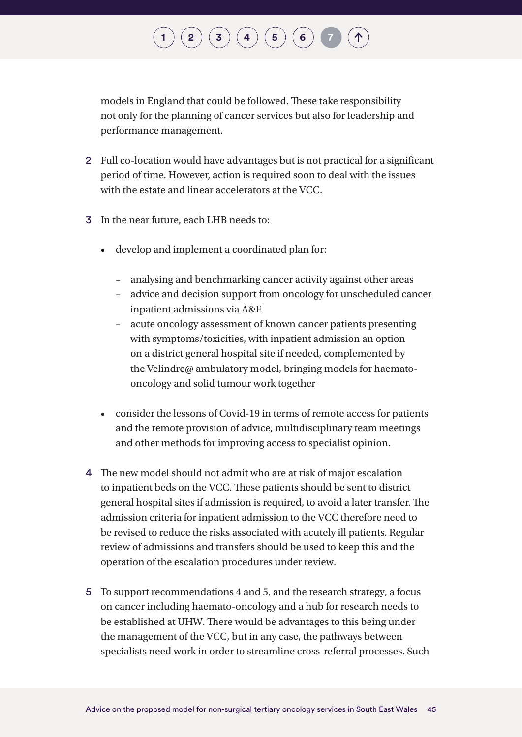# $\binom{2}{\phantom{1}}\binom{3}{\phantom{1}}\binom{4}{\phantom{1}}\binom{5}{\phantom{1}}\binom{6}{\phantom{1}}$  $\binom{2}{\phantom{1}}\binom{3}{\phantom{1}}\binom{4}{\phantom{1}}\binom{5}{\phantom{1}}\binom{6}{\phantom{1}}$  $\binom{2}{\phantom{1}}\binom{3}{\phantom{1}}\binom{4}{\phantom{1}}\binom{5}{\phantom{1}}\binom{6}{\phantom{1}}$  $\binom{2}{\phantom{1}}\binom{3}{\phantom{1}}\binom{4}{\phantom{1}}\binom{5}{\phantom{1}}\binom{6}{\phantom{1}}$  $\binom{2}{\phantom{1}}\binom{3}{\phantom{1}}\binom{4}{\phantom{1}}\binom{5}{\phantom{1}}\binom{6}{\phantom{1}}$  $\binom{2}{\phantom{1}}\binom{3}{\phantom{1}}\binom{4}{\phantom{1}}\binom{5}{\phantom{1}}\binom{6}{\phantom{1}}$  $\binom{2}{\phantom{1}}\binom{3}{\phantom{1}}\binom{4}{\phantom{1}}\binom{5}{\phantom{1}}\binom{6}{\phantom{1}}$  $\binom{2}{\phantom{1}}\binom{3}{\phantom{1}}\binom{4}{\phantom{1}}\binom{5}{\phantom{1}}\binom{6}{\phantom{1}}$  $\binom{2}{\phantom{1}}\binom{3}{\phantom{1}}\binom{4}{\phantom{1}}\binom{5}{\phantom{1}}\binom{6}{\phantom{1}}$  $\binom{2}{\phantom{1}}\binom{3}{\phantom{1}}\binom{4}{\phantom{1}}\binom{5}{\phantom{1}}\binom{6}{\phantom{1}}$  $\binom{2}{\phantom{1}}\binom{3}{\phantom{1}}\binom{4}{\phantom{1}}\binom{5}{\phantom{1}}\binom{6}{\phantom{1}}$

models in England that could be followed. These take responsibility not only for the planning of cancer services but also for leadership and performance management.

- 2 Full co-location would have advantages but is not practical for a significant period of time. However, action is required soon to deal with the issues with the estate and linear accelerators at the VCC.
- 3 In the near future, each LHB needs to:
	- develop and implement a coordinated plan for:
		- analysing and benchmarking cancer activity against other areas
		- advice and decision support from oncology for unscheduled cancer inpatient admissions via A&E
		- acute oncology assessment of known cancer patients presenting with symptoms/toxicities, with inpatient admission an option on a district general hospital site if needed, complemented by the Velindre@ ambulatory model, bringing models for haematooncology and solid tumour work together
	- consider the lessons of Covid-19 in terms of remote access for patients and the remote provision of advice, multidisciplinary team meetings and other methods for improving access to specialist opinion.
- 4 The new model should not admit who are at risk of major escalation to inpatient beds on the VCC. These patients should be sent to district general hospital sites if admission is required, to avoid a later transfer. The admission criteria for inpatient admission to the VCC therefore need to be revised to reduce the risks associated with acutely ill patients. Regular review of admissions and transfers should be used to keep this and the operation of the escalation procedures under review.
- 5 To support recommendations 4 and 5, and the research strategy, a focus on cancer including haemato-oncology and a hub for research needs to be established at UHW. There would be advantages to this being under the management of the VCC, but in any case, the pathways between specialists need work in order to streamline cross-referral processes. Such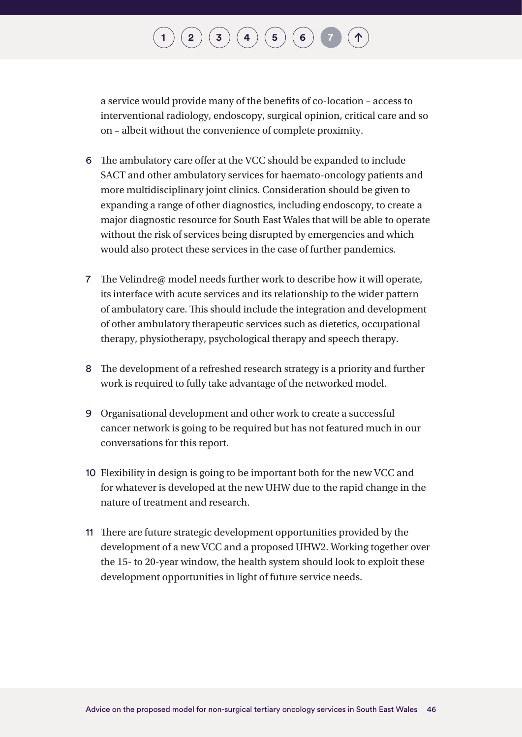## $\binom{2}{\phantom{1}}\binom{3}{\phantom{1}}\binom{4}{\phantom{1}}\binom{5}{\phantom{1}}\binom{6}{\phantom{1}}$  $\binom{2}{\phantom{1}}\binom{3}{\phantom{1}}\binom{4}{\phantom{1}}\binom{5}{\phantom{1}}\binom{6}{\phantom{1}}$  $\binom{2}{\phantom{1}}\binom{3}{\phantom{1}}\binom{4}{\phantom{1}}\binom{5}{\phantom{1}}\binom{6}{\phantom{1}}$  $\binom{2}{\phantom{1}}\binom{3}{\phantom{1}}\binom{4}{\phantom{1}}\binom{5}{\phantom{1}}\binom{6}{\phantom{1}}$  $\binom{2}{\phantom{1}}\binom{3}{\phantom{1}}\binom{4}{\phantom{1}}\binom{5}{\phantom{1}}\binom{6}{\phantom{1}}$  $\binom{2}{\phantom{1}}\binom{3}{\phantom{1}}\binom{4}{\phantom{1}}\binom{5}{\phantom{1}}\binom{6}{\phantom{1}}$  $\binom{2}{\phantom{1}}\binom{3}{\phantom{1}}\binom{4}{\phantom{1}}\binom{5}{\phantom{1}}\binom{6}{\phantom{1}}$  $\binom{2}{\phantom{1}}\binom{3}{\phantom{1}}\binom{4}{\phantom{1}}\binom{5}{\phantom{1}}\binom{6}{\phantom{1}}$  $\binom{2}{\phantom{1}}\binom{3}{\phantom{1}}\binom{4}{\phantom{1}}\binom{5}{\phantom{1}}\binom{6}{\phantom{1}}$  $\binom{2}{\phantom{1}}\binom{3}{\phantom{1}}\binom{4}{\phantom{1}}\binom{5}{\phantom{1}}\binom{6}{\phantom{1}}$  $\binom{2}{\phantom{1}}\binom{3}{\phantom{1}}\binom{4}{\phantom{1}}\binom{5}{\phantom{1}}\binom{6}{\phantom{1}}$

a service would provide many of the benefits of co-location – access to interventional radiology, endoscopy, surgical opinion, critical care and so on – albeit without the convenience of complete proximity.

- 6 The ambulatory care offer at the VCC should be expanded to include SACT and other ambulatory services for haemato-oncology patients and more multidisciplinary joint clinics. Consideration should be given to expanding a range of other diagnostics, including endoscopy, to create a major diagnostic resource for South East Wales that will be able to operate without the risk of services being disrupted by emergencies and which would also protect these services in the case of further pandemics.
- 7 The Velindre@ model needs further work to describe how it will operate, its interface with acute services and its relationship to the wider pattern of ambulatory care. This should include the integration and development of other ambulatory therapeutic services such as dietetics, occupational therapy, physiotherapy, psychological therapy and speech therapy.
- 8 The development of a refreshed research strategy is a priority and further work is required to fully take advantage of the networked model.
- 9 Organisational development and other work to create a successful cancer network is going to be required but has not featured much in our conversations for this report.
- 10 Flexibility in design is going to be important both for the new VCC and for whatever is developed at the new UHW due to the rapid change in the nature of treatment and research.
- 11 There are future strategic development opportunities provided by the development of a new VCC and a proposed UHW2. Working together over the 15- to 20-year window, the health system should look to exploit these development opportunities in light of future service needs.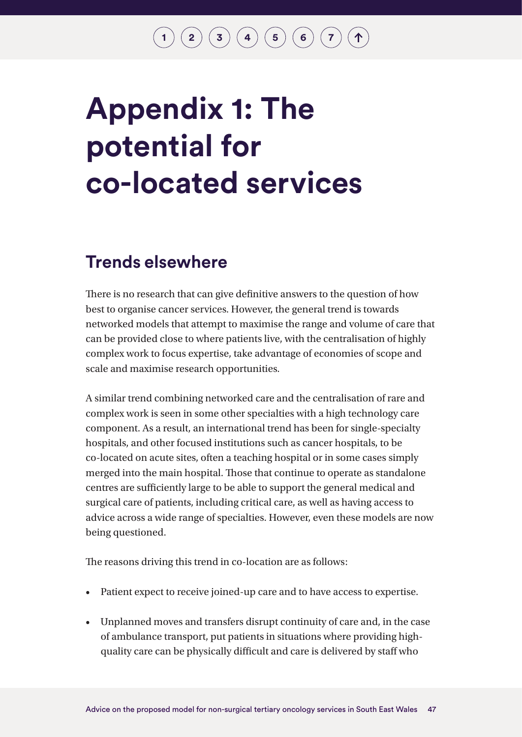### $\mathbf{2}\mathbf{2}\mathbf{3}\mathbf{4}$  $\mathbf{2}\mathbf{2}\mathbf{3}\mathbf{4}$  $\mathbf{2}\mathbf{2}\mathbf{3}\mathbf{4}$  $\mathbf{2}\mathbf{2}\mathbf{3}\mathbf{4}$  $\mathbf{2}\mathbf{2}\mathbf{3}\mathbf{4}$  $\mathbf{2}\mathbf{2}\mathbf{3}\mathbf{4}$  $\mathbf{2}\mathbf{2}\mathbf{3}\mathbf{4}$   $\mathbf{4}\mathbf{5}\mathbf{5}$  $\mathbf{4}\mathbf{5}\mathbf{5}$  $\mathbf{4}\mathbf{5}\mathbf{5}$   $\mathbf{5}\mathbf{6}\mathbf{6}$  $\mathbf{5}\mathbf{6}\mathbf{6}$  $\mathbf{5}\mathbf{6}\mathbf{6}$   $\mathbf{7}\mathbf{7}\mathbf{7}$  $\mathbf{7}\mathbf{7}\mathbf{7}$  $\mathbf{7}\mathbf{7}\mathbf{7}$

# <span id="page-47-1"></span><span id="page-47-0"></span>**Appendix 1: The potential for co-located services**

### **Trends elsewhere**

There is no research that can give definitive answers to the question of how best to organise cancer services. However, the general trend is towards networked models that attempt to maximise the range and volume of care that can be provided close to where patients live, with the centralisation of highly complex work to focus expertise, take advantage of economies of scope and scale and maximise research opportunities.

A similar trend combining networked care and the centralisation of rare and complex work is seen in some other specialties with a high technology care component. As a result, an international trend has been for single-specialty hospitals, and other focused institutions such as cancer hospitals, to be co-located on acute sites, often a teaching hospital or in some cases simply merged into the main hospital. Those that continue to operate as standalone centres are sufficiently large to be able to support the general medical and surgical care of patients, including critical care, as well as having access to advice across a wide range of specialties. However, even these models are now being questioned.

The reasons driving this trend in co-location are as follows:

- Patient expect to receive joined-up care and to have access to expertise.
- Unplanned moves and transfers disrupt continuity of care and, in the case of ambulance transport, put patients in situations where providing highquality care can be physically difficult and care is delivered by staff who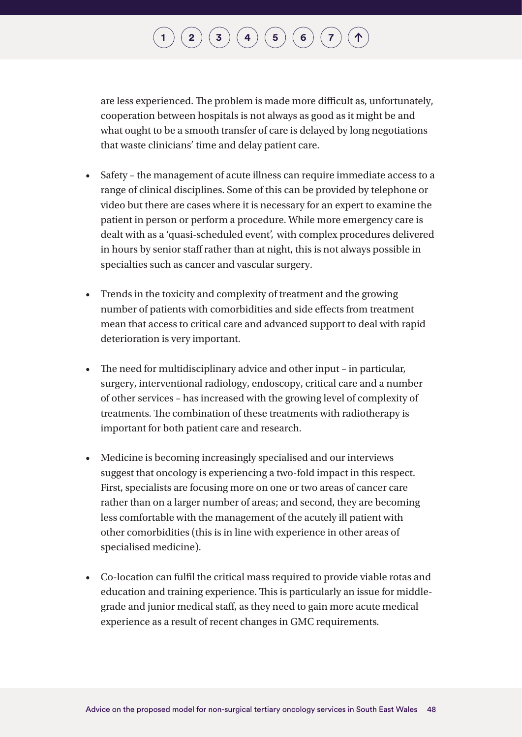## $\binom{2}{\frac{3}{\frac{4}{\frac{6}{\sqrt{2}}}}$  $\binom{2}{\frac{3}{\frac{4}{\frac{6}{\sqrt{2}}}}$  $\binom{2}{\frac{3}{\frac{4}{\frac{6}{\sqrt{2}}}}$  $\binom{2}{\frac{3}{\frac{4}{\frac{6}{\sqrt{2}}}}$  $\binom{2}{\frac{3}{\frac{4}{\frac{6}{\sqrt{2}}}}$  $\binom{2}{\frac{3}{\frac{4}{\frac{6}{\sqrt{2}}}}$  $\binom{2}{\frac{3}{\frac{4}{\frac{6}{\sqrt{2}}}}$  $\binom{2}{\frac{3}{\frac{4}{\frac{6}{\sqrt{2}}}}$  $\binom{2}{\frac{3}{\frac{4}{\frac{6}{\sqrt{2}}}}$

are less experienced. The problem is made more difficult as, unfortunately, cooperation between hospitals is not always as good as it might be and what ought to be a smooth transfer of care is delayed by long negotiations that waste clinicians' time and delay patient care.

- Safety the management of acute illness can require immediate access to a range of clinical disciplines. Some of this can be provided by telephone or video but there are cases where it is necessary for an expert to examine the patient in person or perform a procedure. While more emergency care is dealt with as a 'quasi-scheduled event', with complex procedures delivered in hours by senior staff rather than at night, this is not always possible in specialties such as cancer and vascular surgery.
- Trends in the toxicity and complexity of treatment and the growing number of patients with comorbidities and side effects from treatment mean that access to critical care and advanced support to deal with rapid deterioration is very important.
- The need for multidisciplinary advice and other input in particular, surgery, interventional radiology, endoscopy, critical care and a number of other services – has increased with the growing level of complexity of treatments. The combination of these treatments with radiotherapy is important for both patient care and research.
- Medicine is becoming increasingly specialised and our interviews suggest that oncology is experiencing a two-fold impact in this respect. First, specialists are focusing more on one or two areas of cancer care rather than on a larger number of areas; and second, they are becoming less comfortable with the management of the acutely ill patient with other comorbidities (this is in line with experience in other areas of specialised medicine).
- Co-location can fulfil the critical mass required to provide viable rotas and education and training experience. This is particularly an issue for middlegrade and junior medical staff, as they need to gain more acute medical experience as a result of recent changes in GMC requirements.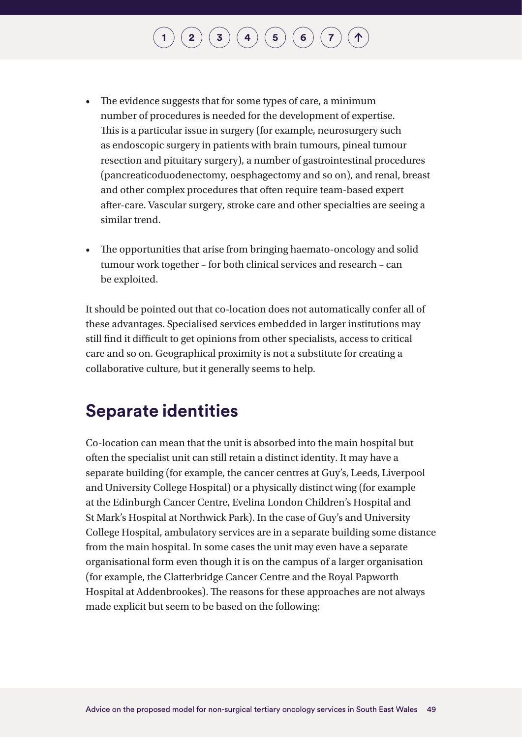- The evidence suggests that for some types of care, a minimum number of procedures is needed for the development of expertise. This is a particular issue in surgery (for example, neurosurgery such as endoscopic surgery in patients with brain tumours, pineal tumour resection and pituitary surgery), a number of gastrointestinal procedures (pancreaticoduodenectomy, oesphagectomy and so on), and renal, breast and other complex procedures that often require team-based expert after-care. Vascular surgery, stroke care and other specialties are seeing a similar trend.
- The opportunities that arise from bringing haemato-oncology and solid tumour work together – for both clinical services and research – can be exploited.

It should be pointed out that co-location does not automatically confer all of these advantages. Specialised services embedded in larger institutions may still find it difficult to get opinions from other specialists, access to critical care and so on. Geographical proximity is not a substitute for creating a collaborative culture, but it generally seems to help.

### **Separate identities**

Co-location can mean that the unit is absorbed into the main hospital but often the specialist unit can still retain a distinct identity. It may have a separate building (for example, the cancer centres at Guy's, Leeds, Liverpool and University College Hospital) or a physically distinct wing (for example at the Edinburgh Cancer Centre, Evelina London Children's Hospital and St Mark's Hospital at Northwick Park). In the case of Guy's and University College Hospital, ambulatory services are in a separate building some distance from the main hospital. In some cases the unit may even have a separate organisational form even though it is on the campus of a larger organisation (for example, the Clatterbridge Cancer Centre and the Royal Papworth Hospital at Addenbrookes). The reasons for these approaches are not always made explicit but seem to be based on the following: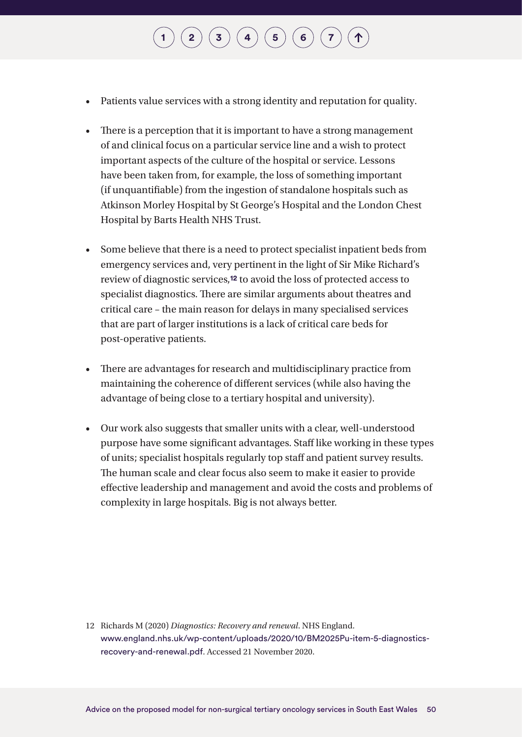- Patients value services with a strong identity and reputation for quality.
- There is a perception that it is important to have a strong management of and clinical focus on a particular service line and a wish to protect important aspects of the culture of the hospital or service. Lessons have been taken from, for example, the loss of something important (if unquantifiable) from the ingestion of standalone hospitals such as Atkinson Morley Hospital by St George's Hospital and the London Chest Hospital by Barts Health NHS Trust.
- Some believe that there is a need to protect specialist inpatient beds from emergency services and, very pertinent in the light of Sir Mike Richard's review of diagnostic services,**12** to avoid the loss of protected access to specialist diagnostics. There are similar arguments about theatres and critical care – the main reason for delays in many specialised services that are part of larger institutions is a lack of critical care beds for post-operative patients.
- There are advantages for research and multidisciplinary practice from maintaining the coherence of different services (while also having the advantage of being close to a tertiary hospital and university).
- Our work also suggests that smaller units with a clear, well-understood purpose have some significant advantages. Staff like working in these types of units; specialist hospitals regularly top staff and patient survey results. The human scale and clear focus also seem to make it easier to provide effective leadership and management and avoid the costs and problems of complexity in large hospitals. Big is not always better.

12 Richards M (2020) *Diagnostics: Recovery and renewal*. NHS England. [www.england.nhs.uk/wp-content/uploads/2020/10/BM2025Pu-item-5-diagnostics](http://www.england.nhs.uk/wp-content/uploads/2020/10/BM2025Pu-item-5-diagnostics-recovery-and-renewal.pdf)[recovery-and-renewal.pdf](http://www.england.nhs.uk/wp-content/uploads/2020/10/BM2025Pu-item-5-diagnostics-recovery-and-renewal.pdf). Accessed 21 November 2020.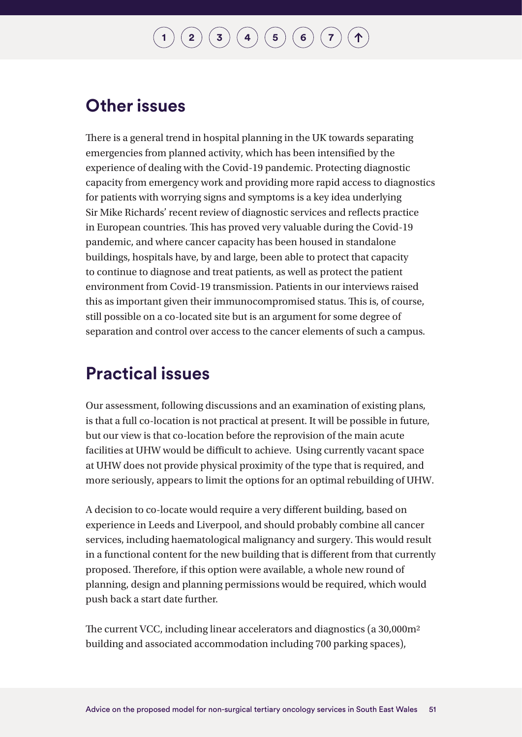### **Other issues**

There is a general trend in hospital planning in the UK towards separating emergencies from planned activity, which has been intensified by the experience of dealing with the Covid-19 pandemic. Protecting diagnostic capacity from emergency work and providing more rapid access to diagnostics for patients with worrying signs and symptoms is a key idea underlying Sir Mike Richards' recent review of diagnostic services and reflects practice in European countries. This has proved very valuable during the Covid-19 pandemic, and where cancer capacity has been housed in standalone buildings, hospitals have, by and large, been able to protect that capacity to continue to diagnose and treat patients, as well as protect the patient environment from Covid-19 transmission. Patients in our interviews raised this as important given their immunocompromised status. This is, of course, still possible on a co-located site but is an argument for some degree of separation and control over access to the cancer elements of such a campus.

### **Practical issues**

Our assessment, following discussions and an examination of existing plans, is that a full co-location is not practical at present. It will be possible in future, but our view is that co-location before the reprovision of the main acute facilities at UHW would be difficult to achieve. Using currently vacant space at UHW does not provide physical proximity of the type that is required, and more seriously, appears to limit the options for an optimal rebuilding of UHW.

A decision to co-locate would require a very different building, based on experience in Leeds and Liverpool, and should probably combine all cancer services, including haematological malignancy and surgery. This would result in a functional content for the new building that is different from that currently proposed. Therefore, if this option were available, a whole new round of planning, design and planning permissions would be required, which would push back a start date further.

The current VCC, including linear accelerators and diagnostics (a 30,000m2 building and associated accommodation including 700 parking spaces),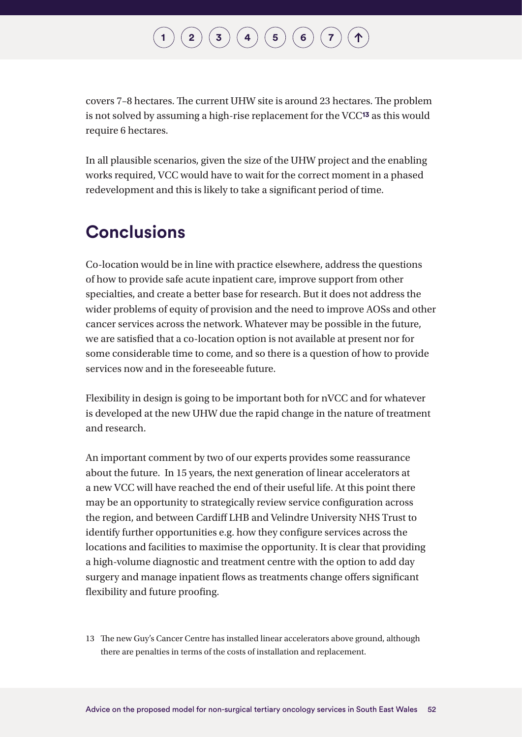### $\binom{2}{\frac{3}{\frac{4}{\frac{6}{\sqrt{2}}}}$  $\binom{2}{\frac{3}{\frac{4}{\frac{6}{\sqrt{2}}}}$  $\binom{2}{\frac{3}{\frac{4}{\frac{6}{\sqrt{2}}}}$  $\binom{2}{\frac{3}{\frac{4}{\frac{6}{\sqrt{2}}}}$  $\binom{2}{\frac{3}{\frac{4}{\frac{6}{\sqrt{2}}}}$  $\binom{2}{\frac{3}{\frac{4}{\frac{6}{\sqrt{2}}}}$  $\binom{2}{\frac{3}{\frac{4}{\frac{6}{\sqrt{2}}}}$  $\binom{2}{\frac{3}{\frac{4}{\frac{6}{\sqrt{2}}}}$  $\binom{2}{\frac{3}{\frac{4}{\frac{6}{\sqrt{2}}}}$

covers 7–8 hectares. The current UHW site is around 23 hectares. The problem is not solved by assuming a high-rise replacement for the VCC**13** as this would require 6 hectares.

In all plausible scenarios, given the size of the UHW project and the enabling works required, VCC would have to wait for the correct moment in a phased redevelopment and this is likely to take a significant period of time.

### **Conclusions**

Co-location would be in line with practice elsewhere, address the questions of how to provide safe acute inpatient care, improve support from other specialties, and create a better base for research. But it does not address the wider problems of equity of provision and the need to improve AOSs and other cancer services across the network. Whatever may be possible in the future, we are satisfied that a co-location option is not available at present nor for some considerable time to come, and so there is a question of how to provide services now and in the foreseeable future.

Flexibility in design is going to be important both for nVCC and for whatever is developed at the new UHW due the rapid change in the nature of treatment and research.

An important comment by two of our experts provides some reassurance about the future. In 15 years, the next generation of linear accelerators at a new VCC will have reached the end of their useful life. At this point there may be an opportunity to strategically review service configuration across the region, and between Cardiff LHB and Velindre University NHS Trust to identify further opportunities e.g. how they configure services across the locations and facilities to maximise the opportunity. It is clear that providing a high-volume diagnostic and treatment centre with the option to add day surgery and manage inpatient flows as treatments change offers significant flexibility and future proofing.

13 The new Guy's Cancer Centre has installed linear accelerators above ground, although there are penalties in terms of the costs of installation and replacement.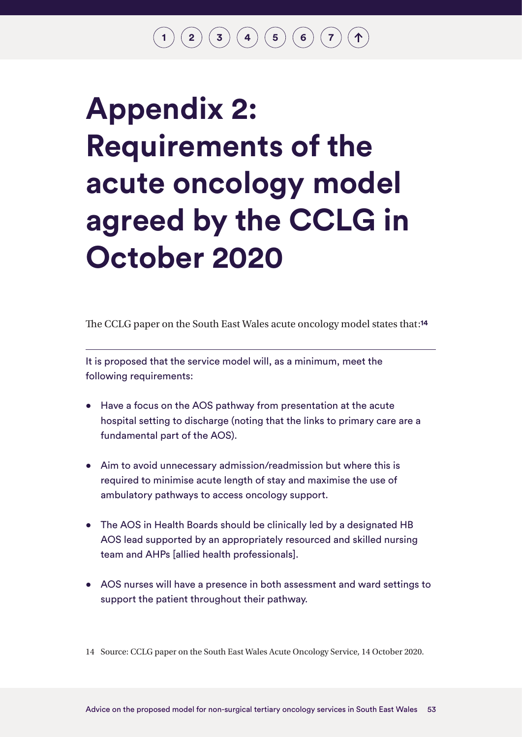# <span id="page-53-1"></span><span id="page-53-0"></span>**Appendix 2: Requirements of the acute oncology model agreed by the CCLG in October 2020**

The CCLG paper on the South East Wales acute oncology model states that:**<sup>14</sup>**

It is proposed that the service model will, as a minimum, meet the following requirements:

- Have a focus on the AOS pathway from presentation at the acute hospital setting to discharge (noting that the links to primary care are a fundamental part of the AOS).
- Aim to avoid unnecessary admission/readmission but where this is required to minimise acute length of stay and maximise the use of ambulatory pathways to access oncology support.
- The AOS in Health Boards should be clinically led by a designated HB AOS lead supported by an appropriately resourced and skilled nursing team and AHPs [allied health professionals].
- AOS nurses will have a presence in both assessment and ward settings to support the patient throughout their pathway.

14 Source: CCLG paper on the South East Wales Acute Oncology Service, 14 October 2020.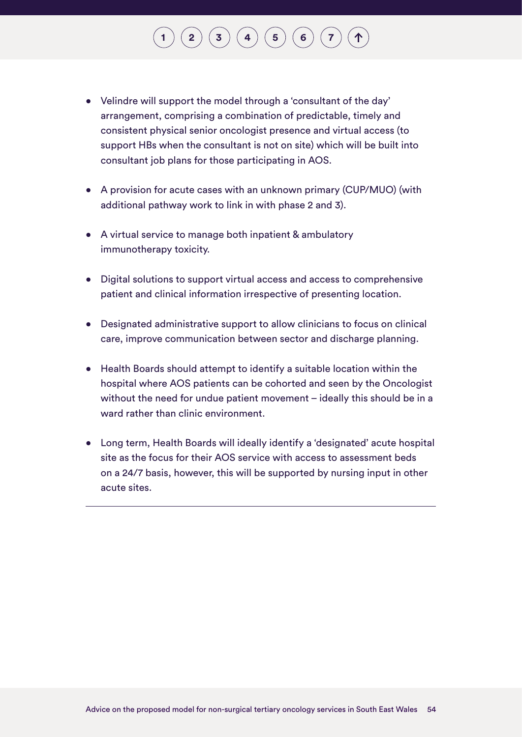# $\mathbf{2} \left( \mathbf{3} \right) \left( \mathbf{3} \right) \left( \mathbf{4} \right) \left( \mathbf{5} \right) \left( \mathbf{6} \right) \left( \mathbf{7} \right)$  $\mathbf{2} \left( \mathbf{3} \right) \left( \mathbf{3} \right) \left( \mathbf{4} \right) \left( \mathbf{5} \right) \left( \mathbf{6} \right) \left( \mathbf{7} \right)$  $\mathbf{2} \left( \mathbf{3} \right) \left( \mathbf{3} \right) \left( \mathbf{4} \right) \left( \mathbf{5} \right) \left( \mathbf{6} \right) \left( \mathbf{7} \right)$  $\mathbf{2} \left( \mathbf{3} \right) \left( \mathbf{3} \right) \left( \mathbf{4} \right) \left( \mathbf{5} \right) \left( \mathbf{6} \right) \left( \mathbf{7} \right)$  $\mathbf{2} \left( \mathbf{3} \right) \left( \mathbf{3} \right) \left( \mathbf{4} \right) \left( \mathbf{5} \right) \left( \mathbf{6} \right) \left( \mathbf{7} \right)$  $\mathbf{2} \left( \mathbf{3} \right) \left( \mathbf{3} \right) \left( \mathbf{4} \right) \left( \mathbf{5} \right) \left( \mathbf{6} \right) \left( \mathbf{7} \right)$  $\mathbf{2} \left( \mathbf{3} \right) \left( \mathbf{3} \right) \left( \mathbf{4} \right) \left( \mathbf{5} \right) \left( \mathbf{6} \right) \left( \mathbf{7} \right)$  $\mathbf{2} \left( \mathbf{3} \right) \left( \mathbf{3} \right) \left( \mathbf{4} \right) \left( \mathbf{5} \right) \left( \mathbf{6} \right) \left( \mathbf{7} \right)$  $\mathbf{2} \left( \mathbf{3} \right) \left( \mathbf{3} \right) \left( \mathbf{4} \right) \left( \mathbf{5} \right) \left( \mathbf{6} \right) \left( \mathbf{7} \right)$  $\mathbf{2} \left( \mathbf{3} \right) \left( \mathbf{3} \right) \left( \mathbf{4} \right) \left( \mathbf{5} \right) \left( \mathbf{6} \right) \left( \mathbf{7} \right)$  $\mathbf{2} \left( \mathbf{3} \right) \left( \mathbf{3} \right) \left( \mathbf{4} \right) \left( \mathbf{5} \right) \left( \mathbf{6} \right) \left( \mathbf{7} \right)$  $\mathbf{2} \left( \mathbf{3} \right) \left( \mathbf{3} \right) \left( \mathbf{4} \right) \left( \mathbf{5} \right) \left( \mathbf{6} \right) \left( \mathbf{7} \right)$  $\mathbf{2} \left( \mathbf{3} \right) \left( \mathbf{3} \right) \left( \mathbf{4} \right) \left( \mathbf{5} \right) \left( \mathbf{6} \right) \left( \mathbf{7} \right)$

- Velindre will support the model through a 'consultant of the day' arrangement, comprising a combination of predictable, timely and consistent physical senior oncologist presence and virtual access (to support HBs when the consultant is not on site) which will be built into consultant job plans for those participating in AOS.
- A provision for acute cases with an unknown primary (CUP/MUO) (with additional pathway work to link in with phase 2 and 3).
- A virtual service to manage both inpatient & ambulatory immunotherapy toxicity.
- Digital solutions to support virtual access and access to comprehensive patient and clinical information irrespective of presenting location.
- Designated administrative support to allow clinicians to focus on clinical care, improve communication between sector and discharge planning.
- Health Boards should attempt to identify a suitable location within the hospital where AOS patients can be cohorted and seen by the Oncologist without the need for undue patient movement – ideally this should be in a ward rather than clinic environment.
- Long term, Health Boards will ideally identify a 'designated' acute hospital site as the focus for their AOS service with access to assessment beds on a 24/7 basis, however, this will be supported by nursing input in other acute sites.